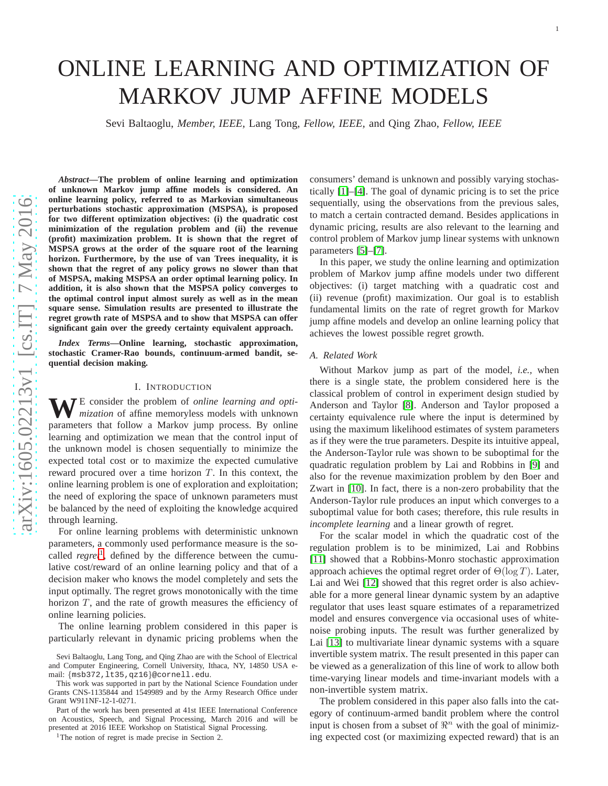# ONLINE LEARNING AND OPTIMIZATION OF MARKOV JUMP AFFINE MODELS

Sevi Baltaoglu, *Member, IEEE,* Lang Tong, *Fellow, IEEE,* and Qing Zhao, *Fellow, IEEE*

arXiv:1605.02213v1 [cs.IT] 7 May 2016 [arXiv:1605.02213v1 \[cs.IT\] 7 May 2016](http://arxiv.org/abs/1605.02213v1)

*Abstract***—The problem of online learning and optimization of unknown Markov jump affine models is considered. An online learning policy, referred to as Markovian simultaneous perturbations stochastic approximation (MSPSA), is proposed for two different optimization objectives: (i) the quadratic cost minimization of the regulation problem and (ii) the revenue (profit) maximization problem. It is shown that the regret of MSPSA grows at the order of the square root of the learning horizon. Furthermore, by the use of van Trees inequality, it is shown that the regret of any policy grows no slower than that of MSPSA, making MSPSA an order optimal learning policy. In addition, it is also shown that the MSPSA policy converges to the optimal control input almost surely as well as in the mean square sense. Simulation results are presented to illustrate the regret growth rate of MSPSA and to show that MSPSA can offer significant gain over the greedy certainty equivalent approach.**

*Index Terms***—Online learning, stochastic approximation, stochastic Cramer-Rao bounds, continuum-armed bandit, se quential decision making.**

## I. INTRODUCTION

**W**E consider the problem of *online learning and optimization* of affine memoryless models with unknown parameters that follow a Markov jump process. By online learning and optimization we mean that the control input of the unknown model is chosen sequentially to minimize the expected total cost or to maximize the expected cumulative reward procured over a time horizon  $T$ . In this context, the online learning problem is one of exploration and exploitation; the need of exploring the space of unknown parameters must be balanced by the need of exploiting the knowledge acquired through learning.

For online learning problems with deterministic unknown parameters, a commonly used performance measure is the socalled *regret*[1](#page-0-0) , defined by the difference between the cumulative cost/reward of an online learning policy and that of a decision maker who knows the model completely and sets the input optimally. The regret grows monotonically with the time horizon  $T$ , and the rate of growth measures the efficiency of online learning policies.

The online learning problem considered in this paper is particularly relevant in dynamic pricing problems when the consumers' demand is unknown and possibly varying stochastically [\[1\]](#page-12-0)–[\[4\]](#page-12-1). The goal of dynamic pricing is to set the price sequentially, using the observations from the previous sales, to match a certain contracted demand. Besides applications in dynamic pricing, results are also relevant to the learning and control problem of Markov jump linear systems with unknown parameters [\[5\]](#page-12-2)–[\[7\]](#page-12-3).

In this paper, we study the online learning and optimization problem of Markov jump affine models under two different objectives: (i) target matching with a quadratic cost and (ii) revenue (profit) maximization. Our goal is to establish fundamental limits on the rate of regret growth for Markov jump affine models and develop an online learning policy that achieves the lowest possible regret growth.

#### *A. Related Work*

Without Markov jump as part of the model, *i.e.,* when there is a single state, the problem considered here is the classical problem of control in experiment design studied b y Anderson and Taylor [\[8\]](#page-12-4). Anderson and Taylor proposed a certainty equivalence rule where the input is determined by using the maximum likelihood estimates of system parameter s as if they were the true parameters. Despite its intuitive appeal, the Anderson-Taylor rule was shown to be suboptimal for the quadratic regulation problem by Lai and Robbins in [\[9\]](#page-12-5) and also for the revenue maximization problem by den Boer and Zwart in [\[10\]](#page-12-6). In fact, there is a non-zero probability that the Anderson-Taylor rule produces an input which converges to a suboptimal value for both cases; therefore, this rule results in *incomplete learning* and a linear growth of regret.

For the scalar model in which the quadratic cost of the regulation problem is to be minimized, Lai and Robbins [\[11\]](#page-12-7) showed that a Robbins-Monro stochastic approximation approach achieves the optimal regret order of  $\Theta(\log T)$ . Later, Lai and Wei [\[12\]](#page-12-8) showed that this regret order is also achievable for a more general linear dynamic system by an adaptive regulator that uses least square estimates of a reparametrized model and ensures convergence via occasional uses of whitenoise probing inputs. The result was further generalized by Lai [\[13\]](#page-12-9) to multivariate linear dynamic systems with a squar e invertible system matrix. The result presented in this paper can be viewed as a generalization of this line of work to allow bot h time-varying linear models and time-invariant models with a non-invertible system matrix.

The problem considered in this paper also falls into the category of continuum-armed bandit problem where the control input is chosen from a subset of  $\mathbb{R}^n$  with the goal of minimizing expected cost (or maximizing expected reward) that is an

Sevi Baltaoglu, Lang Tong, and Qing Zhao are with the School of Electrical and Computer Engineering, Cornell University, Ithaca, NY, 14850 USA email: {msb372,lt35,qz16}@cornell.edu.

This work was supported in part by the National Science Foundation under Grants CNS-1135844 and 1549989 and by the Army Research Office under Grant W911NF-12-1-0271.

Part of the work has been presented at 41st IEEE International Conference on Acoustics, Speech, and Signal Processing, March 2016 and will be presented at 2016 IEEE Workshop on Statistical Signal Processing.

<span id="page-0-0"></span><sup>&</sup>lt;sup>1</sup>The notion of regret is made precise in Section 2.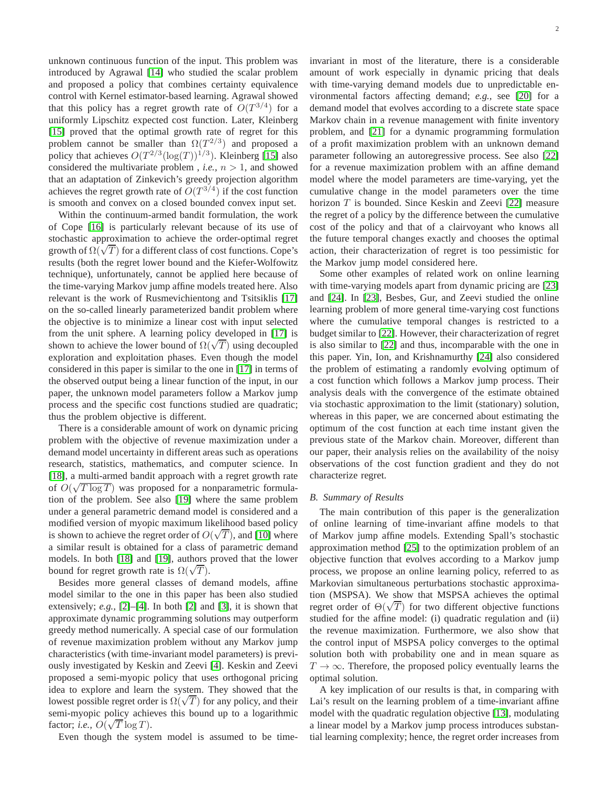unknown continuous function of the input. This problem was introduced by Agrawal [\[14\]](#page-12-10) who studied the scalar problem and proposed a policy that combines certainty equivalence control with Kernel estimator-based learning. Agrawal showed that this policy has a regret growth rate of  $O(T^{3/4})$  for a uniformly Lipschitz expected cost function. Later, Kleinberg [\[15\]](#page-12-11) proved that the optimal growth rate of regret for this problem cannot be smaller than  $\Omega(T^{2/3})$  and proposed a policy that achieves  $O(T^{2/3}(\log(T))^{1/3})$ . Kleinberg [\[15\]](#page-12-11) also considered the multivariate problem, *i.e.*,  $n > 1$ , and showed that an adaptation of Zinkevich's greedy projection algorithm achieves the regret growth rate of  $O(T^{3/4})$  if the cost function is smooth and convex on a closed bounded convex input set.

Within the continuum-armed bandit formulation, the work of Cope [\[16\]](#page-12-12) is particularly relevant because of its use of stochastic approximation to achieve the order-optimal regret growth of  $\Omega(\sqrt{T})$  for a different class of cost functions. Cope's results (both the regret lower bound and the Kiefer-Wolfowitz technique), unfortunately, cannot be applied here because of the time-varying Markov jump affine models treated here. Also relevant is the work of Rusmevichientong and Tsitsiklis [\[17\]](#page-12-13) on the so-called linearly parameterized bandit problem where the objective is to minimize a linear cost with input selected from the unit sphere. A learning policy developed in [\[17\]](#page-12-13) is shown to achieve the lower bound of  $\Omega(\sqrt{T})$  using decoupled exploration and exploitation phases. Even though the model considered in this paper is similar to the one in [\[17\]](#page-12-13) in terms of the observed output being a linear function of the input, in our paper, the unknown model parameters follow a Markov jump process and the specific cost functions studied are quadratic; thus the problem objective is different.

There is a considerable amount of work on dynamic pricing problem with the objective of revenue maximization under a demand model uncertainty in different areas such as operations research, statistics, mathematics, and computer science. In [\[18\]](#page-12-14), a multi-armed bandit approach with a regret growth rate of  $O(\sqrt{T \log T})$  was proposed for a nonparametric formulation of the problem. See also [\[19\]](#page-12-15) where the same problem under a general parametric demand model is considered and a modified version of myopic maximum likelihood based policy is shown to achieve the regret order of  $O(\sqrt{T})$ , and [\[10\]](#page-12-6) where a similar result is obtained for a class of parametric demand models. In both [\[18\]](#page-12-14) and [\[19\]](#page-12-15), authors proved that the lower bound for regret growth rate is  $\Omega(\sqrt{T})$ .

Besides more general classes of demand models, affine model similar to the one in this paper has been also studied extensively; *e.g.,* [\[2\]](#page-12-16)–[\[4\]](#page-12-1). In both [\[2\]](#page-12-16) and [\[3\]](#page-12-17), it is shown that approximate dynamic programming solutions may outperform greedy method numerically. A special case of our formulation of revenue maximization problem without any Markov jump characteristics (with time-invariant model parameters) is previously investigated by Keskin and Zeevi [\[4\]](#page-12-1). Keskin and Zeevi proposed a semi-myopic policy that uses orthogonal pricing idea to explore and learn the system. They showed that the lowest possible regret order is  $\Omega(\sqrt{T})$  for any policy, and their semi-myopic policy achieves this bound up to a logarithmic factor; *i.e.*,  $O(\sqrt{T} \log T)$ .

Even though the system model is assumed to be time-

invariant in most of the literature, there is a considerable amount of work especially in dynamic pricing that deals with time-varying demand models due to unpredictable environmental factors affecting demand; *e.g.,* see [\[20\]](#page-12-18) for a demand model that evolves according to a discrete state space Markov chain in a revenue management with finite inventory problem, and [\[21\]](#page-12-19) for a dynamic programming formulation of a profit maximization problem with an unknown demand parameter following an autoregressive process. See also [\[22\]](#page-12-20) for a revenue maximization problem with an affine demand model where the model parameters are time-varying, yet the cumulative change in the model parameters over the time horizon  $T$  is bounded. Since Keskin and Zeevi [\[22\]](#page-12-20) measure the regret of a policy by the difference between the cumulative cost of the policy and that of a clairvoyant who knows all the future temporal changes exactly and chooses the optimal action, their characterization of regret is too pessimistic for the Markov jump model considered here.

Some other examples of related work on online learning with time-varying models apart from dynamic pricing are [\[23\]](#page-12-21) and [\[24\]](#page-12-22). In [\[23\]](#page-12-21), Besbes, Gur, and Zeevi studied the online learning problem of more general time-varying cost functions where the cumulative temporal changes is restricted to a budget similar to [\[22\]](#page-12-20). However, their characterization of regret is also similar to [\[22\]](#page-12-20) and thus, incomparable with the one in this paper. Yin, Ion, and Krishnamurthy [\[24\]](#page-12-22) also considered the problem of estimating a randomly evolving optimum of a cost function which follows a Markov jump process. Their analysis deals with the convergence of the estimate obtained via stochastic approximation to the limit (stationary) solution, whereas in this paper, we are concerned about estimating the optimum of the cost function at each time instant given the previous state of the Markov chain. Moreover, different than our paper, their analysis relies on the availability of the noisy observations of the cost function gradient and they do not characterize regret.

#### *B. Summary of Results*

The main contribution of this paper is the generalization of online learning of time-invariant affine models to that of Markov jump affine models. Extending Spall's stochastic approximation method [\[25\]](#page-12-23) to the optimization problem of an objective function that evolves according to a Markov jump process, we propose an online learning policy, referred to as Markovian simultaneous perturbations stochastic approximation (MSPSA). We show that MSPSA achieves the optimal regret order of  $\Theta(\sqrt{T})$  for two different objective functions studied for the affine model: (i) quadratic regulation and (ii) the revenue maximization. Furthermore, we also show that the control input of MSPSA policy converges to the optimal solution both with probability one and in mean square as  $T \rightarrow \infty$ . Therefore, the proposed policy eventually learns the optimal solution.

A key implication of our results is that, in comparing with Lai's result on the learning problem of a time-invariant affine model with the quadratic regulation objective [\[13\]](#page-12-9), modulating a linear model by a Markov jump process introduces substantial learning complexity; hence, the regret order increases from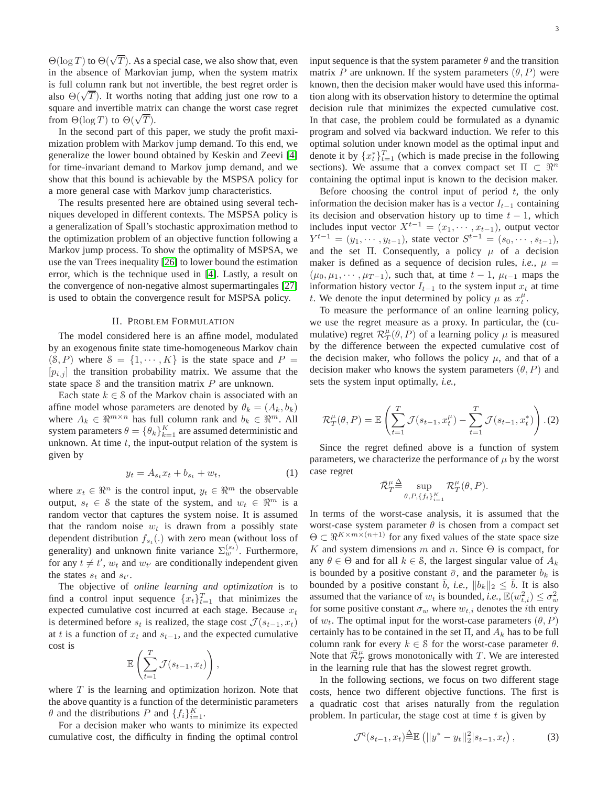$\Theta(\log T)$  to  $\Theta(\sqrt{T})$ . As a special case, we also show that, even in the absence of Markovian jump, when the system matrix is full column rank but not invertible, the best regret order is also  $\Theta(\sqrt{T})$ . It worths noting that adding just one row to a square and invertible matrix can change the worst case regret from  $\Theta(\log T)$  to  $\Theta(\sqrt{T})$ .

In the second part of this paper, we study the profit maximization problem with Markov jump demand. To this end, we generalize the lower bound obtained by Keskin and Zeevi [\[4\]](#page-12-1) for time-invariant demand to Markov jump demand, and we show that this bound is achievable by the MSPSA policy for a more general case with Markov jump characteristics.

The results presented here are obtained using several techniques developed in different contexts. The MSPSA policy is a generalization of Spall's stochastic approximation method to the optimization problem of an objective function following a Markov jump process. To show the optimality of MSPSA, we use the van Trees inequality [\[26\]](#page-12-24) to lower bound the estimation error, which is the technique used in [\[4\]](#page-12-1). Lastly, a result on the convergence of non-negative almost supermartingales [\[27\]](#page-12-25) is used to obtain the convergence result for MSPSA policy.

## II. PROBLEM FORMULATION

The model considered here is an affine model, modulated by an exogenous finite state time-homogeneous Markov chain  $(S, P)$  where  $S = \{1, \dots, K\}$  is the state space and  $P =$  $[p_{i,j}]$  the transition probability matrix. We assume that the state space  $S$  and the transition matrix  $P$  are unknown.

Each state  $k \in \mathcal{S}$  of the Markov chain is associated with an affine model whose parameters are denoted by  $\theta_k = (A_k, b_k)$ where  $A_k \in \mathbb{R}^{m \times n}$  has full column rank and  $b_k \in \mathbb{R}^m$ . All system parameters  $\theta = \{\theta_k\}_{k=1}^K$  are assumed deterministic and unknown. At time  $t$ , the input-output relation of the system is given by

$$
y_t = A_{s_t} x_t + b_{s_t} + w_t, \tag{1}
$$

where  $x_t \in \mathbb{R}^n$  is the control input,  $y_t \in \mathbb{R}^m$  the observable output,  $s_t \in \mathcal{S}$  the state of the system, and  $w_t \in \mathbb{R}^m$  is a random vector that captures the system noise. It is assumed that the random noise  $w_t$  is drawn from a possibly state dependent distribution  $f_{s_t}(\cdot)$  with zero mean (without loss of generality) and unknown finite variance  $\Sigma_w^{(s_t)}$ . Furthermore, for any  $t \neq t'$ ,  $w_t$  and  $w_{t'}$  are conditionally independent given the states  $s_t$  and  $s_{t'}$ .

The objective of *online learning and optimization* is to find a control input sequence  $\{x_t\}_{t=1}^T$  that minimizes the expected cumulative cost incurred at each stage. Because  $x_t$ is determined before  $s_t$  is realized, the stage cost  $\mathcal{J}(s_{t-1}, x_t)$ at t is a function of  $x_t$  and  $s_{t-1}$ , and the expected cumulative cost is

$$
\mathbb{E}\left(\sum_{t=1}^T \mathcal{J}(s_{t-1}, x_t)\right),\
$$

where  $T$  is the learning and optimization horizon. Note that the above quantity is a function of the deterministic parameters  $\theta$  and the distributions P and  $\{f_i\}_{i=1}^K$ .

For a decision maker who wants to minimize its expected cumulative cost, the difficulty in finding the optimal control input sequence is that the system parameter  $\theta$  and the transition matrix P are unknown. If the system parameters  $(\theta, P)$  were known, then the decision maker would have used this information along with its observation history to determine the optimal decision rule that minimizes the expected cumulative cost. In that case, the problem could be formulated as a dynamic program and solved via backward induction. We refer to this optimal solution under known model as the optimal input and denote it by  $\{x_t^*\}_{t=1}^T$  (which is made precise in the following sections). We assume that a convex compact set  $\Pi \subset \mathbb{R}^n$ containing the optimal input is known to the decision maker.

Before choosing the control input of period  $t$ , the only information the decision maker has is a vector  $I_{t-1}$  containing its decision and observation history up to time  $t - 1$ , which includes input vector  $X^{t-1} = (x_1, \dots, x_{t-1})$ , output vector  $Y^{t-1} = (y_1, \dots, y_{t-1}),$  state vector  $S^{t-1} = (s_0, \dots, s_{t-1}),$ and the set  $\Pi$ . Consequently, a policy  $\mu$  of a decision maker is defined as a sequence of decision rules, *i.e.*,  $\mu$  =  $(\mu_0, \mu_1, \cdots, \mu_{T-1})$ , such that, at time  $t-1$ ,  $\mu_{t-1}$  maps the information history vector  $I_{t-1}$  to the system input  $x_t$  at time t. We denote the input determined by policy  $\mu$  as  $x_t^{\mu}$ .

To measure the performance of an online learning policy, we use the regret measure as a proxy. In particular, the (cumulative) regret  $\mathcal{R}_T^{\mu}(\theta, P)$  of a learning policy  $\mu$  is measured by the difference between the expected cumulative cost of the decision maker, who follows the policy  $\mu$ , and that of a decision maker who knows the system parameters  $(\theta, P)$  and sets the system input optimally, *i.e.,*

$$
\mathcal{R}_T^{\mu}(\theta, P) = \mathbb{E}\left(\sum_{t=1}^T \mathcal{J}(s_{t-1}, x_t^{\mu}) - \sum_{t=1}^T \mathcal{J}(s_{t-1}, x_t^*)\right).
$$
 (2)

<span id="page-2-1"></span>Since the regret defined above is a function of system parameters, we characterize the performance of  $\mu$  by the worst case regret

<span id="page-2-2"></span>
$$
\bar{\mathcal{R}}_T^{\mu} \! \stackrel{\Delta}{=} \! \sup_{\theta, P, \{f_i\}_{i=1}^K} \mathcal{R}^\mu_T(\theta, P).
$$

In terms of the worst-case analysis, it is assumed that the worst-case system parameter  $\theta$  is chosen from a compact set  $\Theta \subset \Re^{K \times m \times (n+1)}$  for any fixed values of the state space size K and system dimensions m and n. Since  $\Theta$  is compact, for any  $\theta \in \Theta$  and for all  $k \in \mathcal{S}$ , the largest singular value of  $A_k$ is bounded by a positive constant  $\bar{\sigma}$ , and the parameter  $b_k$  is bounded by a positive constant  $\bar{b}$ , *i.e.*,  $||b_k||_2 \leq \bar{b}$ . It is also assumed that the variance of  $w_t$  is bounded, *i.e.*,  $\mathbb{E}(w_{t,i}^2) \leq \sigma_w^2$ for some positive constant  $\sigma_w$  where  $w_{t,i}$  denotes the *i*th entry of  $w_t$ . The optimal input for the worst-case parameters  $(\theta, P)$ certainly has to be contained in the set  $\Pi$ , and  $A_k$  has to be full column rank for every  $k \in S$  for the worst-case parameter  $\theta$ . Note that  $\bar{\mathcal{R}}_T^{\mu}$  grows monotonically with T. We are interested in the learning rule that has the slowest regret growth.

In the following sections, we focus on two different stage costs, hence two different objective functions. The first is a quadratic cost that arises naturally from the regulation problem. In particular, the stage cost at time  $t$  is given by

<span id="page-2-0"></span>
$$
\mathcal{J}^{\mathcal{Q}}(s_{t-1}, x_t) \stackrel{\Delta}{=} \mathbb{E} \left( ||y^* - y_t||_2^2 | s_{t-1}, x_t \right), \tag{3}
$$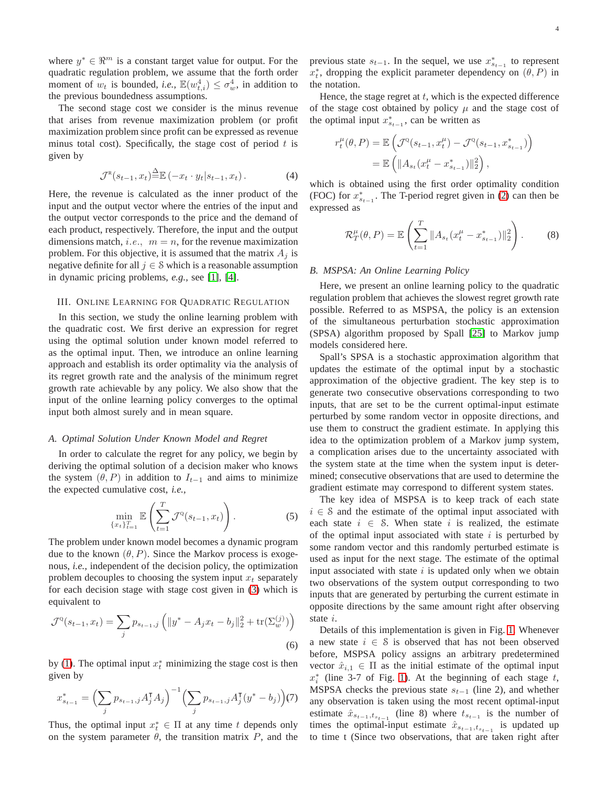where  $y^* \in \mathbb{R}^m$  is a constant target value for output. For the quadratic regulation problem, we assume that the forth order moment of  $w_t$  is bounded, *i.e.*,  $\mathbb{E}(w_{t,i}^4) \leq \sigma_w^4$ , in addition to the previous boundedness assumptions.

The second stage cost we consider is the minus revenue that arises from revenue maximization problem (or profit maximization problem since profit can be expressed as revenue minus total cost). Specifically, the stage cost of period  $t$  is given by

$$
\mathcal{J}^{\mathbb{R}}(s_{t-1}, x_t) \stackrel{\Delta}{=} \mathbb{E}(-x_t \cdot y_t | s_{t-1}, x_t).
$$
 (4)

Here, the revenue is calculated as the inner product of the input and the output vector where the entries of the input and the output vector corresponds to the price and the demand of each product, respectively. Therefore, the input and the output dimensions match, *i.e.*,  $m = n$ , for the revenue maximization problem. For this objective, it is assumed that the matrix  $A_i$  is negative definite for all  $j \in \mathcal{S}$  which is a reasonable assumption in dynamic pricing problems, *e.g.,* see [\[1\]](#page-12-0), [\[4\]](#page-12-1).

#### III. ONLINE LEARNING FOR QUADRATIC REGULATION

In this section, we study the online learning problem with the quadratic cost. We first derive an expression for regret using the optimal solution under known model referred to as the optimal input. Then, we introduce an online learning approach and establish its order optimality via the analysis of its regret growth rate and the analysis of the minimum regret growth rate achievable by any policy. We also show that the input of the online learning policy converges to the optimal input both almost surely and in mean square.

#### *A. Optimal Solution Under Known Model and Regret*

In order to calculate the regret for any policy, we begin by deriving the optimal solution of a decision maker who knows the system  $(\theta, P)$  in addition to  $I_{t-1}$  and aims to minimize the expected cumulative cost, *i.e.,*

$$
\min_{\{x_t\}_{t=1}^T} \mathbb{E}\left(\sum_{t=1}^T \mathcal{J}^{\mathbb{Q}}(s_{t-1}, x_t)\right).
$$
 (5)

The problem under known model becomes a dynamic program due to the known  $(\theta, P)$ . Since the Markov process is exogenous, *i.e.,* independent of the decision policy, the optimization problem decouples to choosing the system input  $x_t$  separately for each decision stage with stage cost given in [\(3\)](#page-2-0) which is equivalent to

$$
\mathcal{J}^{\mathcal{Q}}(s_{t-1}, x_t) = \sum_j p_{s_{t-1}, j} \left( \|y^* - A_j x_t - b_j\|_2^2 + \text{tr}(\Sigma_w^{(j)}) \right)
$$
\n
$$
(6)
$$

by [\(1\)](#page-2-1). The optimal input  $x_t^*$  minimizing the stage cost is then given by

$$
x_{s_{t-1}}^* = \left(\sum_j p_{s_{t-1},j} A_j^{\mathsf{T}} A_j\right)^{-1} \left(\sum_j p_{s_{t-1},j} A_j^{\mathsf{T}} (y^* - b_j)\right) (7)
$$

Thus, the optimal input  $x_t^* \in \Pi$  at any time t depends only on the system parameter  $\theta$ , the transition matrix  $P$ , and the

previous state  $s_{t-1}$ . In the sequel, we use  $x_{s_{t-1}}^*$  to represent  $x_t^*$ , dropping the explicit parameter dependency on  $(\theta, P)$  in the notation.

Hence, the stage regret at  $t$ , which is the expected difference of the stage cost obtained by policy  $\mu$  and the stage cost of the optimal input  $x_{s_{t-1}}^*$ , can be written as

$$
r_t^{\mu}(\theta, P) = \mathbb{E}\left(\mathcal{J}^{\mathbb{Q}}(s_{t-1}, x_t^{\mu}) - \mathcal{J}^{\mathbb{Q}}(s_{t-1}, x_{s_{t-1}}^*)\right)
$$
  
=  $\mathbb{E}\left(\|A_{s_t}(x_t^{\mu} - x_{s_{t-1}}^*)\|_2^2\right),$ 

<span id="page-3-3"></span>which is obtained using the first order optimality condition (FOC) for  $x_{s_{t-1}}^*$ . The T-period regret given in [\(2\)](#page-2-2) can then be expressed as

<span id="page-3-0"></span>
$$
\mathcal{R}_T^{\mu}(\theta, P) = \mathbb{E}\left(\sum_{t=1}^T \|A_{s_t}(x_t^{\mu} - x_{s_{t-1}}^*)\|_2^2\right).
$$
 (8)

#### *B. MSPSA: An Online Learning Policy*

Here, we present an online learning policy to the quadratic regulation problem that achieves the slowest regret growth rate possible. Referred to as MSPSA, the policy is an extension of the simultaneous perturbation stochastic approximation (SPSA) algorithm proposed by Spall [\[25\]](#page-12-23) to Markov jump models considered here.

Spall's SPSA is a stochastic approximation algorithm that updates the estimate of the optimal input by a stochastic approximation of the objective gradient. The key step is to generate two consecutive observations corresponding to two inputs, that are set to be the current optimal-input estimate perturbed by some random vector in opposite directions, and use them to construct the gradient estimate. In applying this idea to the optimization problem of a Markov jump system, a complication arises due to the uncertainty associated with the system state at the time when the system input is determined; consecutive observations that are used to determine the gradient estimate may correspond to different system states.

<span id="page-3-2"></span>The key idea of MSPSA is to keep track of each state  $i \in S$  and the estimate of the optimal input associated with each state  $i \in S$ . When state i is realized, the estimate of the optimal input associated with state  $i$  is perturbed by some random vector and this randomly perturbed estimate is used as input for the next stage. The estimate of the optimal input associated with state  $i$  is updated only when we obtain two observations of the system output corresponding to two inputs that are generated by perturbing the current estimate in opposite directions by the same amount right after observing state i.

<span id="page-3-4"></span><span id="page-3-1"></span>Details of this implementation is given in Fig. [1.](#page-4-0) Whenever a new state  $i \in \mathcal{S}$  is observed that has not been observed before, MSPSA policy assigns an arbitrary predetermined vector  $\hat{x}_{i,1} \in \Pi$  as the initial estimate of the optimal input  $x_i^*$  (line 3-7 of Fig. [1\)](#page-4-0). At the beginning of each stage t, MSPSA checks the previous state  $s_{t-1}$  (line 2), and whether any observation is taken using the most recent optimal-input estimate  $\hat{x}_{s_{t-1}, t_{s_{t-1}}}$  (line 8) where  $t_{s_{t-1}}$  is the number of times the optimal-input estimate  $\hat{x}_{s_{t-1},t_{s_{t-1}}}$  is updated up to time t (Since two observations, that are taken right after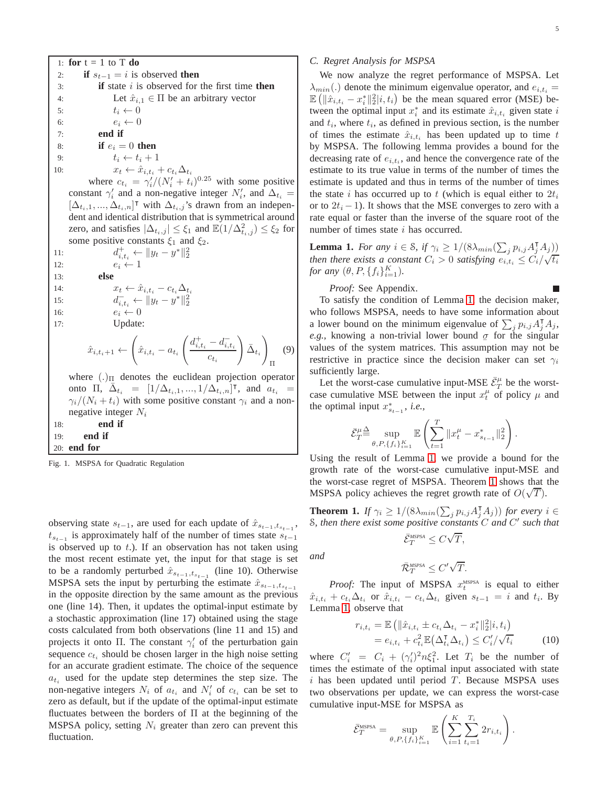1: **for**  $t = 1$  to T **do** 2: **if**  $s_{t-1} = i$  is observed **then** 3: **if** state i is observed for the first time **then** 4: Let  $\hat{x}_{i,1} \in \Pi$  be an arbitrary vector 5:  $t_i \leftarrow 0$ 5:  $t_i \leftarrow 0$ <br>6:  $e_i \leftarrow 0$ 6:  $e_i \leftarrow 0$ <br>7: **end if** 7: **end if** 8: **if**  $e_i = 0$  **then** 9:  $t_i \leftarrow t_i + 1$ <br>10:  $x_t \leftarrow \hat{x}_{i,t}$ 10:  $x_t \leftarrow \hat{x}_{i,t_i} + c_{t_i} \Delta_{t_i}$ where  $c_{t_i} = \gamma_i'/(N_i' + t_i)^{0.25}$  with some positive constant  $\gamma'_i$  and a non-negative integer  $N'_i$ , and  $\Delta_{t_i} =$  $[\Delta_{t_i,1}, ..., \Delta_{t_i,n}]^{\dagger}$  with  $\Delta_{t_i,j}$ 's drawn from an independent and identical distribution that is symmetrical around zero, and satisfies  $|\Delta_{t_i,j}| \leq \xi_1$  and  $\mathbb{E}(1/\Delta^2_{t_i,j}) \leq \xi_2$  for some positive constants  $\xi_1$  and  $\xi_2$ . 11: d 11:  $d_{i,t_i}^+ \leftarrow \|y_t - y^*\|_2^2$ <br>
12:  $e_i \leftarrow 1$ 13: **else** 14:  $x_t \leftarrow \hat{x}_{i,t_i} - c_{t_i} \Delta_{t_i}$ <br>
15:  $d_{i,t_i}^{-} \leftarrow ||y_t - y^*||_2^2$  $15:$ 16:  $e_i \leftarrow 0$ <br>17: Update Update:  $\hat{x}_{i,t_i+1} \leftarrow$  $\sqrt{2}$  $\hat{x}_{i,t_i} - a_{t_i}$  $\int d_{i,t_i}^+ - d_{i,t_i}^$  $c_{t_i}$  $\Bigr)_{\bar \Delta_{t_i}}$  $\setminus$ Π where  $(.)_{\Pi}$  denotes the euclidean projection operator onto  $\Pi$ ,  $\bar{\Delta}_{t_i} = [1/\Delta_{t_i,1}, ..., 1/\Delta_{t_i,n}]^{\mathsf{T}}$ , and  $a_{t_i} =$  $\gamma_i/(N_i + t_i)$  with some positive constant  $\gamma_i$  and a nonnegative integer  $N_i$ 18: **end if** 19: **end if** 20: **end for**

<span id="page-4-0"></span>Fig. 1. MSPSA for Quadratic Regulation

observing state  $s_{t-1}$ , are used for each update of  $\hat{x}_{s_{t-1},t_{s_{t-1}}}$ ,  $t_{s_{t-1}}$  is approximately half of the number of times state  $s_{t-1}$ is observed up to  $t$ .). If an observation has not taken using the most recent estimate yet, the input for that stage is set to be a randomly perturbed  $\hat{x}_{s_{t-1},t_{s_{t-1}}}$  (line 10). Otherwise MSPSA sets the input by perturbing the estimate  $\hat{x}_{s_{t-1},t_{s_{t-1}}}$ in the opposite direction by the same amount as the previous one (line 14). Then, it updates the optimal-input estimate by a stochastic approximation (line 17) obtained using the stage costs calculated from both observations (line 11 and 15) and projects it onto  $\Pi$ . The constant  $\gamma_i'$  of the perturbation gain sequence  $c_{t_i}$  should be chosen larger in the high noise setting for an accurate gradient estimate. The choice of the sequence  $a_{t_i}$  used for the update step determines the step size. The non-negative integers  $N_i$  of  $a_{t_i}$  and  $N'_i$  of  $c_{t_i}$  can be set to zero as default, but if the update of the optimal-input estimate fluctuates between the borders of Π at the beginning of the MSPSA policy, setting  $N_i$  greater than zero can prevent this fluctuation.

## *C. Regret Analysis for MSPSA*

We now analyze the regret performance of MSPSA. Let  $\lambda_{min}(.)$  denote the minimum eigenvalue operator, and  $e_{i,t_i} =$  $\mathbb{E} \left( \|\hat{x}_{i,t_i} - x_i^*\|_2^2 | i, t_i \right)$  be the mean squared error (MSE) between the optimal input  $x_i^*$  and its estimate  $\hat{x}_{i,t_i}$  given state  $i$ and  $t_i$ , where  $t_i$ , as defined in previous section, is the number of times the estimate  $\hat{x}_{i,t_i}$  has been updated up to time t by MSPSA. The following lemma provides a bound for the decreasing rate of  $e_{i,t_i}$ , and hence the convergence rate of the estimate to its true value in terms of the number of times the estimate is updated and thus in terms of the number of times the state i has occurred up to t (which is equal either to  $2t_i$ or to  $2t_i - 1$ ). It shows that the MSE converges to zero with a rate equal or faster than the inverse of the square root of the number of times state  $i$  has occurred.

<span id="page-4-1"></span>**Lemma 1.** *For any*  $i \in S$ , if  $\gamma_i \geq 1/(8\lambda_{min}(\sum_j p_{i,j}A_j^{\mathsf{T}}A_j))$ *then there exists a constant*  $C_i > 0$  *satisfying*  $e_{i,t_i} \leq C_i/\sqrt{t_i}$ *for any*  $(\theta, P, \{f_i\}_{i=1}^K)$ *.* 

*Proof:* See Appendix.

<span id="page-4-4"></span>(9)

*and*

To satisfy the condition of Lemma [1,](#page-4-1) the decision maker, who follows MSPSA, needs to have some information about a lower bound on the minimum eigenvalue of  $\sum_j p_{i,j} A_j^{\mathsf{T}} A_j$ , e.g., knowing a non-trivial lower bound  $\sigma$  for the singular values of the system matrices. This assumption may not be restrictive in practice since the decision maker can set  $\gamma_i$ sufficiently large.

Let the worst-case cumulative input-MSE  $\bar{\mathcal{E}}_T^{\mu}$  be the worstcase cumulative MSE between the input  $x_t^{\mu}$  of policy  $\mu$  and the optimal input  $x_{s_{t-1}}^*$ , *i.e.*,

$$
\bar{\mathcal{E}}_T^{\mu \underline{\triangle}} \sup_{\theta, P, \{f_i\}_{i=1}^K} \mathbb{E} \left( \sum_{t=1}^T \|x_t^{\mu} - x_{s_{t-1}}^*\|_2^2 \right).
$$

Using the result of Lemma [1](#page-4-1), we provide a bound for the growth rate of the worst-case cumulative input-MSE and the worst-case regret of MSPSA. Theorem [1](#page-4-2) shows that the MSPSA policy achieves the regret growth rate of  $O(\sqrt{T})$ .

<span id="page-4-2"></span>**Theorem 1.** *If*  $\gamma_i \geq 1/(8\lambda_{min}(\sum_j p_{i,j} A_j^{\mathsf{T}} A_j))$  *for every*  $i \in$ S*, then there exist some positive constants* C *and* C ′ *such that*

$$
\bar{\mathcal{E}}_T^{\text{MSPSA}} \leq C\sqrt{T},
$$

<span id="page-4-3"></span>
$$
\bar{\mathcal{R}}_T^{\text{MSPSA}} \leq C' \sqrt{T}.
$$

*Proof:* The input of MSPSA  $x_t^{\text{MSPSA}}$  is equal to either  $\hat{x}_{i,t_i} + c_{t_i} \Delta_{t_i}$  or  $\hat{x}_{i,t_i} - c_{t_i} \Delta_{t_i}$  given  $s_{t-1} = i$  and  $t_i$ . By Lemma [1,](#page-4-1) observe that

$$
r_{i,t_i} = \mathbb{E} \left( \| \hat{x}_{i,t_i} \pm c_{t_i} \Delta_{t_i} - x_i^* \|_2^2 | i, t_i \right)
$$
  
=  $e_{i,t_i} + c_{t_i}^2 \mathbb{E} \left( \Delta_{t_i}^T \Delta_{t_i} \right) \le C_i'/\sqrt{t_i}$  (10)

where  $C_i' = C_i + (\gamma_i')^2 n \xi_1^2$ . Let  $T_i$  be the number of times the estimate of the optimal input associated with state  $i$  has been updated until period  $T$ . Because MSPSA uses two observations per update, we can express the worst-case cumulative input-MSE for MSPSA as

$$
\bar{\mathcal{E}}_T^{\text{MSPSA}} = \sup_{\theta, P, \{f_i\}_{i=1}^K} \mathbb{E}\left(\sum_{i=1}^K \sum_{t_i=1}^{T_i} 2r_{i,t_i}\right).
$$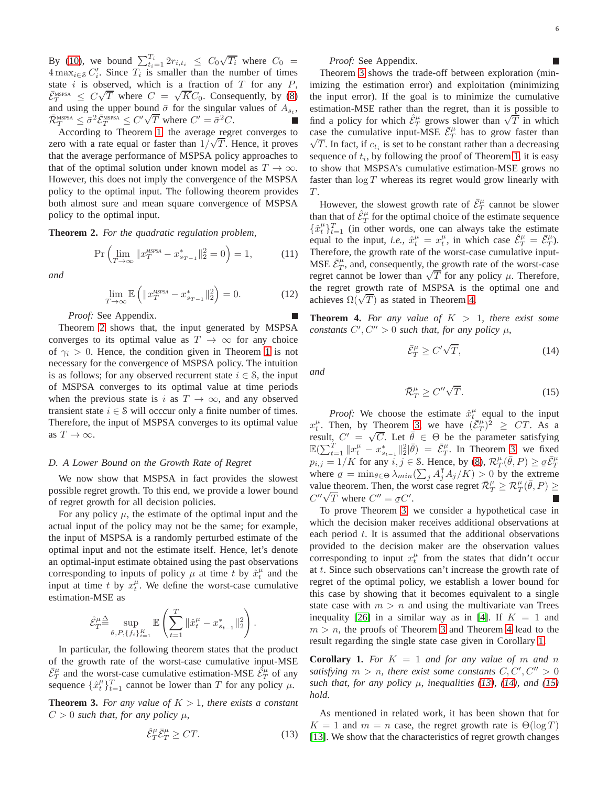By [\(10\)](#page-4-3), we bound  $\sum_{t_i=1}^{T_i} 2r_{i,t_i} \leq C_0 \sqrt{T_i}$  where  $C_0 =$  $4 \max_{i \in S} C'_i$ . Since  $T_i$  is smaller than the number of times state  $i$  is observed, which is a fraction of  $T$  for any  $P$ ,  $\bar{\mathcal{E}}_{T}^{\text{MSPSA}} \leq C\sqrt{T}$  where  $C = \sqrt{KC_0}$ . Consequently, by [\(8\)](#page-3-0) and using the upper bound  $\bar{\sigma}$  for the singular values of  $A_{s_t}$ ,  $\overline{\mathcal{R}}_T^{\text{MSSA}} \leq \overline{\sigma}^2 \overline{\mathcal{E}}_T^{\text{MSSA}} \leq C' \sqrt{T}$  where  $C' = \overline{\sigma}^2 C$ .

According to Theorem [1,](#page-4-2) the average regret converges to zero with a rate equal or faster than  $1/\sqrt{T}$ . Hence, it proves that the average performance of MSPSA policy approaches to that of the optimal solution under known model as  $T \to \infty$ . However, this does not imply the convergence of the MSPSA policy to the optimal input. The following theorem provides both almost sure and mean square convergence of MSPSA policy to the optimal input.

<span id="page-5-0"></span>**Theorem 2.** *For the quadratic regulation problem,*

$$
\Pr\left(\lim_{T \to \infty} \|x_T^{\text{MSPSA}} - x_{s_{T-1}}^*\|_2^2 = 0\right) = 1,\tag{11}
$$

*and*

$$
\lim_{T \to \infty} \mathbb{E}\left(\|x_T^{\text{MSPSA}} - x_{s_{T-1}}^*\|_2^2\right) = 0. \tag{12}
$$

*Proof:* See Appendix.

Theorem [2](#page-5-0) shows that, the input generated by MSPSA converges to its optimal value as  $T \to \infty$  for any choice of  $\gamma_i > 0$ . Hence, the condition given in Theorem [1](#page-4-2) is not necessary for the convergence of MSPSA policy. The intuition is as follows; for any observed recurrent state  $i \in S$ , the input of MSPSA converges to its optimal value at time periods when the previous state is i as  $T \to \infty$ , and any observed transient state  $i \in \mathcal{S}$  will occcur only a finite number of times. Therefore, the input of MSPSA converges to its optimal value as  $T \to \infty$ .

#### *D. A Lower Bound on the Growth Rate of Regret*

We now show that MSPSA in fact provides the slowest possible regret growth. To this end, we provide a lower bound of regret growth for all decision policies.

For any policy  $\mu$ , the estimate of the optimal input and the actual input of the policy may not be the same; for example, the input of MSPSA is a randomly perturbed estimate of the optimal input and not the estimate itself. Hence, let's denote an optimal-input estimate obtained using the past observations corresponding to inputs of policy  $\mu$  at time t by  $\hat{x}_t^{\mu}$  and the input at time t by  $x_t^{\mu}$ . We define the worst-case cumulative estimation-MSE as

$$
\hat{\mathcal{E}}_T^{\mu \underline{\Delta}} \sup_{\theta, P, \{f_i\}_{i=1}^K} \mathbb{E}\left(\sum_{t=1}^T \|\hat{x}_t^{\mu} - x_{s_{t-1}}^*\|_2^2\right).
$$

In particular, the following theorem states that the product of the growth rate of the worst-case cumulative input-MSE  $\bar{\mathcal{E}}_T^{\mu}$  and the worst-case cumulative estimation-MSE  $\hat{\mathcal{E}}_T^{\mu}$  of any sequence  $\{\hat{x}_t^{\mu}\}_{t=1}^T$  cannot be lower than T for any policy  $\mu$ .

<span id="page-5-1"></span>**Theorem 3.** For any value of  $K > 1$ , there exists a constant  $C > 0$  *such that, for any policy*  $\mu$ ,

$$
\hat{\mathcal{E}}_T^{\mu} \bar{\mathcal{E}}_T^{\mu} \ge CT. \tag{13}
$$

*Proof:* See Appendix.

Theorem [3](#page-5-1) shows the trade-off between exploration (minimizing the estimation error) and exploitation (minimizing the input error). If the goal is to minimize the cumulative estimation-MSE rather than the regret, than it is possible to find a policy for which  $\hat{\mathcal{E}}_T^{\mu}$  grows slower than  $\sqrt{T}$  in which case the cumulative input-MSE  $\bar{\mathcal{E}}_T^{\mu}$  has to grow faster than  $\sqrt{T}$ . In fact, if  $c_{t_i}$  is set to be constant rather than a decreasing sequence of  $t_i$ , by following the proof of Theorem [1,](#page-4-2) it is easy to show that MSPSA's cumulative estimation-MSE grows no faster than  $\log T$  whereas its regret would grow linearly with  $\cal T.$ 

<span id="page-5-7"></span>However, the slowest growth rate of  $\bar{\mathcal{E}}_T^{\mu}$  cannot be slower than that of  $\hat{\mathcal{E}}_T^{\mu}$  for the optimal choice of the estimate sequence  $\{\hat{x}_t^{\mu}\}_{t=1}^T$  (in other words, one can always take the estimate equal to the input, *i.e.*,  $\hat{x}_t^{\mu} = x_t^{\mu}$ , in which case  $\hat{\mathcal{E}}_T^{\mu} = \bar{\mathcal{E}}_T^{\mu}$ . Therefore, the growth rate of the worst-case cumulative input-MSE  $\bar{\mathcal{E}}_T^{\mu}$ , and, consequently, the growth rate of the worst-case regret cannot be lower than  $\sqrt{T}$  for any policy  $\mu$ . Therefore, the regret growth rate of MSPSA is the optimal one and achieves  $\Omega(\sqrt{T})$  as stated in Theorem [4.](#page-5-2)

<span id="page-5-2"></span>**Theorem 4.** For any value of  $K > 1$ , there exist some *constants*  $C', C'' > 0$  *such that, for any policy*  $\mu$ *,* 

<span id="page-5-5"></span>
$$
\bar{\mathcal{E}}_T^{\mu} \ge C' \sqrt{T},\tag{14}
$$

*and*

<span id="page-5-6"></span>
$$
\bar{\mathcal{R}}_T^{\mu} \ge C'' \sqrt{T}.
$$
 (15)

*Proof:* We choose the estimate  $\hat{x}_t^{\mu}$  equal to the input  $x_t^{\mu}$ . Then, by Theorem [3,](#page-5-1) we have  $(\bar{\mathcal{E}}_T^{\mu})^2 \geq CT$ . As a t<sub>t</sub>. Then, by Theorem 3, we have  $(c_T) \geq C_1$ . As a<br>result,  $C' = \sqrt{C}$ . Let  $\overline{\theta} \in \Theta$  be the parameter satisfying  $\mathbb{E}(\sum_{t=1}^T \|x_t^{\mu} - x_{s_{t-1}}^*\|_2^2 | \bar{\theta}) = \bar{\mathcal{E}}_T^{\mu}$ . In Theorem [3,](#page-5-1) we fixed  $p_{i,j} = 1/K$  for any  $i, j \in S$ . Hence, by [\(8\)](#page-3-0),  $\mathcal{R}_T^{\mu}(\bar{\theta}, P) \geq \sigma \bar{\mathcal{E}}_T^{\mu}$ where  $\sigma = \min_{\theta \in \Theta} \lambda_{min}(\sum_j A_j^{\mathsf{T}} A_j/K) > 0$  by the extreme value theorem. Then, the worst case regret  $\overline{\mathcal{R}}_T^{\mu} \geq \mathcal{R}_T^{\mu}(\overline{\theta}, P) \geq$  $C''\sqrt{T}$  where  $C'' = \sigma C'$ .

To prove Theorem [3,](#page-5-1) we consider a hypothetical case in which the decision maker receives additional observations at each period  $t$ . It is assumed that the additional observations provided to the decision maker are the observation values corresponding to input  $x_t^{\mu}$  from the states that didn't occur at t. Since such observations can't increase the growth rate of regret of the optimal policy, we establish a lower bound for this case by showing that it becomes equivalent to a single state case with  $m > n$  and using the multivariate van Trees inequality [\[26\]](#page-12-24) in a similar way as in [\[4\]](#page-12-1). If  $K = 1$  and  $m > n$ , the proofs of Theorem [3](#page-5-1) and Theorem [4](#page-5-2) lead to the result regarding the single state case given in Corollary [1.](#page-5-3)

<span id="page-5-3"></span>**Corollary 1.** *For*  $K = 1$  *and for any value of* m *and* n satisfying  $m > n$ , there exist some constants  $C, C', C'' > 0$ such that, for any policy  $\mu$ , inequalities [\(13\)](#page-5-4), [\(14\)](#page-5-5), and [\(15\)](#page-5-6) *hold.*

<span id="page-5-4"></span>As mentioned in related work, it has been shown that for  $K = 1$  and  $m = n$  case, the regret growth rate is  $\Theta(\log T)$ [\[13\]](#page-12-9). We show that the characteristics of regret growth changes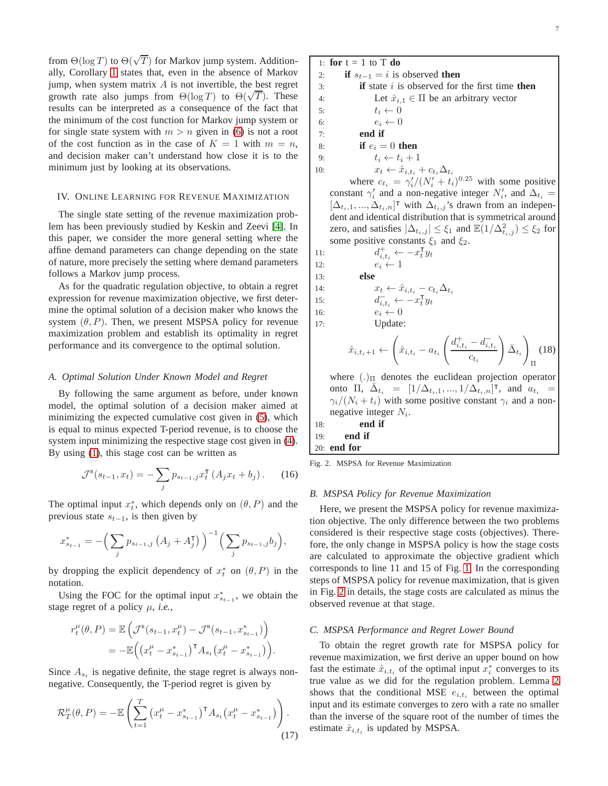from  $\Theta(\log T)$  to  $\Theta(\sqrt{T})$  for Markov jump system. Additionally, Corollary [1](#page-5-3) states that, even in the absence of Markov jump, when system matrix  $A$  is not invertible, the best regret growth rate also jumps from  $\Theta(\log T)$  to  $\Theta(\sqrt{T})$ . These results can be interpreted as a consequence of the fact that the minimum of the cost function for Markov jump system or for single state system with  $m > n$  given in [\(6\)](#page-3-1) is not a root of the cost function as in the case of  $K = 1$  with  $m = n$ , and decision maker can't understand how close it is to the minimum just by looking at its observations.

## IV. ONLINE LEARNING FOR REVENUE MAXIMIZATION

The single state setting of the revenue maximization problem has been previously studied by Keskin and Zeevi [\[4\]](#page-12-1). In this paper, we consider the more general setting where the affine demand parameters can change depending on the state of nature, more precisely the setting where demand parameters follows a Markov jump process.

As for the quadratic regulation objective, to obtain a regret expression for revenue maximization objective, we first determine the optimal solution of a decision maker who knows the system  $(\theta, P)$ . Then, we present MSPSA policy for revenue maximization problem and establish its optimality in regret performance and its convergence to the optimal solution.

## *A. Optimal Solution Under Known Model and Regret*

By following the same argument as before, under known model, the optimal solution of a decision maker aimed at minimizing the expected cumulative cost given in [\(5\)](#page-3-2), which is equal to minus expected T-period revenue, is to choose the system input minimizing the respective stage cost given in [\(4\)](#page-3-3). By using [\(1\)](#page-2-1), this stage cost can be written as

$$
\mathcal{J}^{\mathsf{R}}(s_{t-1}, x_t) = -\sum_j p_{s_{t-1},j} x_t^{\mathsf{T}} \left( A_j x_t + b_j \right). \tag{16}
$$

The optimal input  $x_t^*$ , which depends only on  $(\theta, P)$  and the previous state  $s_{t-1}$ , is then given by

$$
x_{s_{t-1}}^* = -\Big(\sum_j p_{s_{t-1},j} (A_j + A_j^{\mathsf{T}})\Big)^{-1} \Big(\sum_j p_{s_{t-1},j} b_j\Big),\,
$$

by dropping the explicit dependency of  $x_t^*$  on  $(\theta, P)$  in the notation.

Using the FOC for the optimal input  $x_{s_{t-1}}^*$ , we obtain the stage regret of a policy  $\mu$ , *i.e.*,

$$
r_t^{\mu}(\theta, P) = \mathbb{E}\left(\mathcal{J}^{\mathsf{R}}(s_{t-1}, x_t^{\mu}) - \mathcal{J}^{\mathsf{R}}(s_{t-1}, x_{s_{t-1}}^{*})\right)
$$
  
= 
$$
-\mathbb{E}\left((x_t^{\mu} - x_{s_{t-1}}^{*})^{\mathsf{T}} A_{s_t} (x_t^{\mu} - x_{s_{t-1}}^{*})\right).
$$

Since  $A_{s_t}$  is negative definite, the stage regret is always nonnegative. Consequently, the T-period regret is given by

$$
\mathcal{R}_T^{\mu}(\theta, P) = -\mathbb{E}\left(\sum_{t=1}^T \left(x_t^{\mu} - x_{s_{t-1}}^*\right)^{\mathsf{T}} A_{s_t} \left(x_t^{\mu} - x_{s_{t-1}}^*\right)\right). \tag{17}
$$

1: **for**  $t = 1$  to  $T$  **do** 2: **if**  $s_{t-1} = i$  is observed **then** 3: **if** state i is observed for the first time **then** 4: Let  $\hat{x}_{i,1} \in \Pi$  be an arbitrary vector 5:  $t_i \leftarrow 0$ 5:  $t_i \leftarrow 0$ <br>6:  $e_i \leftarrow 0$ 6:  $e_i \leftarrow 0$ <br>7: **end if** 7: **end if** 8: **if**  $e_i = 0$  **then** 9:  $t_i \leftarrow t_i + 1$ <br>10:  $x_t \leftarrow \hat{x}_{i,t_i}$ 10:  $x_t \leftarrow \hat{x}_{i,t_i} + c_{t_i} \Delta_{t_i}$ where  $c_{t_i} = \gamma_i' / (N_i' + t_i)^{0.25}$  with some positive

constant  $\gamma'_i$  and a non-negative integer  $N'_i$ , and  $\Delta_{t_i} =$  $[\Delta_{t_i,1}, ..., \Delta_{t_i,n}]^{\dagger}$  with  $\Delta_{t_i,j}$ 's drawn from an independent and identical distribution that is symmetrical around zero, and satisfies  $|\Delta_{t_i,j}| \leq \xi_1$  and  $\mathbb{E}(1/\Delta^2_{t_i,j}) \leq \xi_2$  for some positive constants  $\xi_1$  and  $\xi_2$ .

11: 
$$
d_{t,t_i}^+ \leftarrow -x_t^{\mathrm{T}} y_t
$$
  
\n12: 
$$
e_i \leftarrow 1
$$
  
\n13: **else**  
\n14: 
$$
x_t \leftarrow \hat{x}_{i,t_i} - c_{t_i} \Delta_{t_i}
$$
  
\n15: 
$$
d_{\overline{i},t_i}^- \leftarrow -x_t^{\mathrm{T}} y_t
$$
  
\n16: 
$$
e_i \leftarrow 0
$$
  
\n17: Update:  
\n
$$
\hat{x}_{i,t_i+1} \leftarrow \left(\hat{x}_{i,t_i} - a_{t_i} \left( \frac{d_{i,t_i}^+ - d_{i,t_i}^-}{c_{t_i}} \right)\right)\right)
$$
  
\n
$$
\hat{x}_{i,t_i+1} \leftarrow \left(\hat{x}_{i,t_i} - a_{t_i} \left( \frac{d_{i,t_i}^+ - d_{i,t_i}^-}{c_{t_i}} \right)\right)
$$

where  $(.)_{\Pi}$  denotes the euclidean projection operator onto  $\Pi$ ,  $\bar{\Delta}_{t_i} = [1/\Delta_{t_i,1}, ..., 1/\Delta_{t_i,n}]^{\mathsf{T}}$ , and  $a_{t_i} =$  $\gamma_i/(N_i + t_i)$  with some positive constant  $\gamma_i$  and a nonnegative integer  $N_i$ .

 $\Bigr)_{\bar \Delta_{t_i}}$  $\setminus$ 

Π (18)

$$
18: \qquad \qquad end \text{ if } \\ 19: \qquad \text{end if } \\
$$

20: **end for**

<span id="page-6-2"></span><span id="page-6-0"></span>Fig. 2. MSPSA for Revenue Maximization

## *B. MSPSA Policy for Revenue Maximization*

Here, we present the MSPSA policy for revenue maximization objective. The only difference between the two problems considered is their respective stage costs (objectives). Therefore, the only change in MSPSA policy is how the stage costs are calculated to approximate the objective gradient which corresponds to line 11 and 15 of Fig. [1.](#page-4-0) In the corresponding steps of MSPSA policy for revenue maximization, that is given in Fig. [2](#page-6-0) in details, the stage costs are calculated as minus the observed revenue at that stage.

#### *C. MSPSA Performance and Regret Lower Bound*

<span id="page-6-1"></span>To obtain the regret growth rate for MSPSA policy for revenue maximization, we first derive an upper bound on how fast the estimate  $\hat{x}_{i,t_i}$  of the optimal input  $x_i^*$  converges to its true value as we did for the regulation problem. Lemma [2](#page-7-0) shows that the conditional MSE  $e_{i,t_i}$  between the optimal input and its estimate converges to zero with a rate no smaller than the inverse of the square root of the number of times the estimate  $\hat{x}_{i,t_i}$  is updated by MSPSA.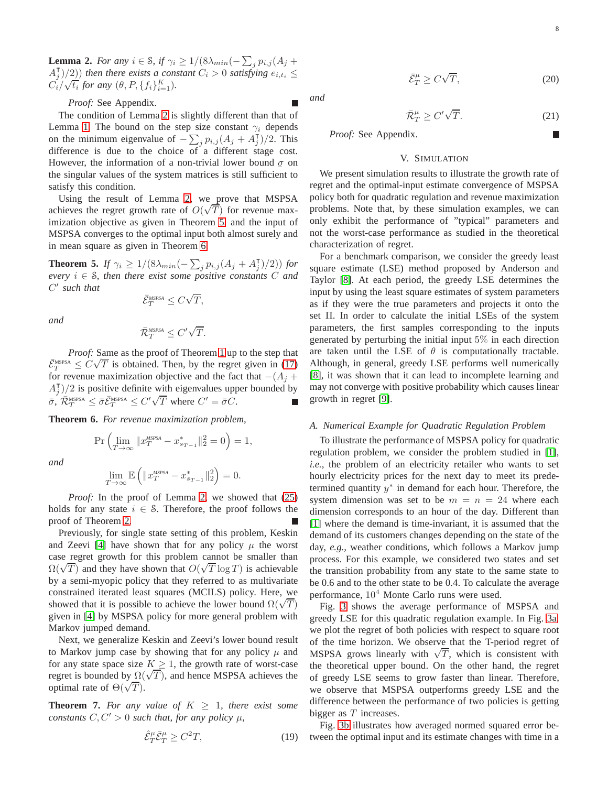<span id="page-7-0"></span>**Lemma 2.** *For any*  $i \in \mathcal{S}$ , if  $\gamma_i \geq 1/(8\lambda_{min}(-\sum_j p_{i,j}(A_j +$  $\left(A_j^{\dagger}\right)/2$ ) *then there exists a constant*  $C_i > 0$  *satisfying*  $e_{i,t_i} \leq$  $C_i/\sqrt{t_i}$  for any  $(\theta, P, \{f_i\}_{i=1}^K)$ .

*Proof:* See Appendix.

The condition of Lemma [2](#page-7-0) is slightly different than that of Lemma [1.](#page-4-1) The bound on the step size constant  $\gamma_i$  depends on the minimum eigenvalue of  $-\sum_j p_{i,j} (A_j + A_j) / 2$ . This difference is due to the choice of a different stage cost. However, the information of a non-trivial lower bound  $\sigma$  on the singular values of the system matrices is still sufficient to satisfy this condition.

Using the result of Lemma [2,](#page-7-0) we prove that MSPSA achieves the regret growth rate of  $O(\sqrt{T})$  for revenue maximization objective as given in Theorem [5,](#page-7-1) and the input of MSPSA converges to the optimal input both almost surely and in mean square as given in Theorem [6.](#page-7-2)

<span id="page-7-1"></span>**Theorem 5.** *If*  $\gamma_i \ge 1/(8\lambda_{min}(-\sum_j p_{i,j}(A_j + A_j^{\mathsf{T}})/2))$  *for every*  $i \in S$ *, then there exist some positive constants*  $C$  *and* C ′ *such that*

$$
\bar{\mathcal{E}}_T^{\text{MSPSA}} \leq C \sqrt{T},
$$

*and*

$$
\bar{\mathcal{R}}_T^{\text{MSPSA}} \leq C' \sqrt{T}.
$$

*Proof:* Same as the proof of Theorem [1](#page-4-2) up to the step that  $\bar{\mathcal{E}}_T^{\text{MSPSA}} \leq C\sqrt{T}$  is obtained. Then, by the regret given in [\(17\)](#page-6-1) for revenue maximization objective and the fact that  $-(A_i +$  $A_j^{\dagger}$ )/2 is positive definite with eigenvalues upper bounded by  $\overline{\sigma}$ ,  $\overline{\mathcal{R}}_T^{\text{MSPSA}} \leq \overline{\sigma} \overline{\mathcal{E}}_T^{\text{MSPSA}} \leq C' \sqrt{T}$  where  $C' = \overline{\sigma} C$ .

<span id="page-7-2"></span>**Theorem 6.** *For revenue maximization problem,*

$$
\Pr\left(\lim_{T \to \infty} \|x_T^{\text{MSPSA}} - x_{s_{T-1}}^*\|_2^2 = 0\right) = 1,
$$

*and*

$$
\lim_{T \to \infty} \mathbb{E} \left( \|x_T^{\text{MSPSA}} - x_{s_{T-1}}^* \|_2^2 \right) = 0.
$$

*Proof:* In the proof of Lemma [2,](#page-7-0) we showed that [\(25\)](#page-9-0) holds for any state  $i \in S$ . Therefore, the proof follows the proof of Theorem [2.](#page-5-0)

Previously, for single state setting of this problem, Keskin and Zeevi [\[4\]](#page-12-1) have shown that for any policy  $\mu$  the worst case regret growth for this problem cannot be smaller than  $\Omega(\sqrt{T})$  and they have shown that  $O(\sqrt{T} \log T)$  is achievable by a semi-myopic policy that they referred to as multivariate constrained iterated least squares (MCILS) policy. Here, we showed that it is possible to achieve the lower bound  $\Omega(\sqrt{T})$ given in [\[4\]](#page-12-1) by MSPSA policy for more general problem with Markov jumped demand.

Next, we generalize Keskin and Zeevi's lower bound result to Markov jump case by showing that for any policy  $\mu$  and for any state space size  $K \geq 1$ , the growth rate of worst-case regret is bounded by  $\Omega(\sqrt{T})$ , and hence MSPSA achieves the optimal rate of  $\Theta(\sqrt{T})$ .

<span id="page-7-3"></span>**Theorem 7.** For any value of  $K > 1$ , there exist some *constants*  $C, C' > 0$  *such that, for any policy*  $\mu$ *,* 

$$
\hat{\mathcal{E}}_T^{\mu} \bar{\mathcal{E}}_T^{\mu} \ge C^2 T,\tag{19}
$$

*and*

$$
\bar{\mathcal{E}}_T^{\mu} \ge C\sqrt{T},\tag{20}
$$

$$
f_{\rm{max}}
$$

$$
\bar{\mathcal{R}}_T^{\mu} \ge C' \sqrt{T}.\tag{21}
$$

*Proof:* See Appendix.

# V. SIMULATION

We present simulation results to illustrate the growth rate of regret and the optimal-input estimate convergence of MSPSA policy both for quadratic regulation and revenue maximization problems. Note that, by these simulation examples, we can only exhibit the performance of "typical" parameters and not the worst-case performance as studied in the theoretical characterization of regret.

For a benchmark comparison, we consider the greedy least square estimate (LSE) method proposed by Anderson and Taylor [\[8\]](#page-12-4). At each period, the greedy LSE determines the input by using the least square estimates of system parameters as if they were the true parameters and projects it onto the set Π. In order to calculate the initial LSEs of the system parameters, the first samples corresponding to the inputs generated by perturbing the initial input 5% in each direction are taken until the LSE of  $\theta$  is computationally tractable. Although, in general, greedy LSE performs well numerically [\[8\]](#page-12-4), it was shown that it can lead to incomplete learning and may not converge with positive probability which causes linear growth in regret [\[9\]](#page-12-5).

#### *A. Numerical Example for Quadratic Regulation Problem*

To illustrate the performance of MSPSA policy for quadratic regulation problem, we consider the problem studied in [\[1\]](#page-12-0), *i.e.,* the problem of an electricity retailer who wants to set hourly electricity prices for the next day to meet its predetermined quantity  $y^*$  in demand for each hour. Therefore, the system dimension was set to be  $m = n = 24$  where each dimension corresponds to an hour of the day. Different than [\[1\]](#page-12-0) where the demand is time-invariant, it is assumed that the demand of its customers changes depending on the state of the day, *e.g.,* weather conditions, which follows a Markov jump process. For this example, we considered two states and set the transition probability from any state to the same state to be 0.6 and to the other state to be 0.4. To calculate the average performance,  $10<sup>4</sup>$  Monte Carlo runs were used.

Fig. [3](#page-8-0) shows the average performance of MSPSA and greedy LSE for this quadratic regulation example. In Fig. [3a,](#page-8-1) we plot the regret of both policies with respect to square root of the time horizon. We observe that the T-period regret of MSPSA grows linearly with  $\sqrt{T}$ , which is consistent with the theoretical upper bound. On the other hand, the regret of greedy LSE seems to grow faster than linear. Therefore, we observe that MSPSA outperforms greedy LSE and the difference between the performance of two policies is getting bigger as  $T$  increases.

<span id="page-7-4"></span>Fig. [3b](#page-8-2) illustrates how averaged normed squared error between the optimal input and its estimate changes with time in a

<span id="page-7-6"></span><span id="page-7-5"></span>г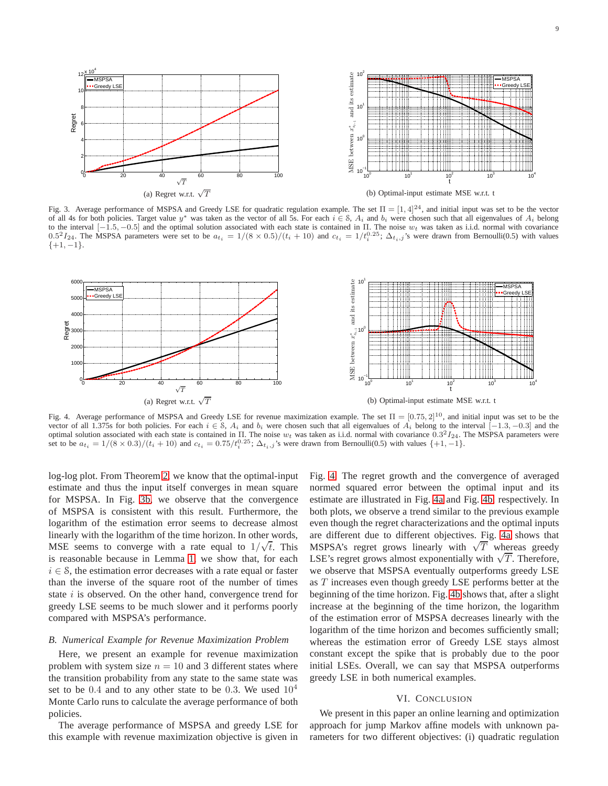<span id="page-8-1"></span>

<span id="page-8-2"></span><span id="page-8-0"></span>Fig. 3. Average performance of MSPSA and Greedy LSE for quadratic regulation example. The set  $\Pi = \left[1, 4\right]^{24}$ , and initial input was set to be the vector of all 4s for both policies. Target value  $y^*$  was taken as the vector of all 5s. For each  $i \in S$ ,  $A_i$  and  $b_i$  were chosen such that all eigenvalues of  $A_i$  belong to the interval  $[-1.5, -0.5]$  and the optimal solution associated with each state is contained in Π. The noise  $w_t$  was taken as i.i.d. normal with covariance 0.5<sup>2</sup> $I_{24}$ . The MSPSA parameters were set to be  $a_{t_i} = 1/(8 \times 0.5)/(t_i + 10)$  and  $c_{t_i} = 1/t_i^{0.25}$ ;  $\Delta_{t_i,j}$ 's were drawn from Bernoulli(0.5) with values  $\{+1, -1\}.$ 

<span id="page-8-4"></span>

<span id="page-8-3"></span>Fig. 4. Average performance of MSPSA and Greedy LSE for revenue maximization example. The set  $\Pi = [0.75, 2]^{10}$ , and initial input was set to be the vector of all 1.375s for both policies. For each  $i \in S$ ,  $A_i$  and  $b_i$  were chosen such that all eigenvalues of  $A_i$  belong to the interval [-1.3, -0.3] and the optimal solution associated with each state is contained in II. The noise  $w_t$  was taken as i.i.d. normal with covariance  $0.3^2I_{24}$ . The MSPSA parameters were set to be  $a_{t_i} = 1/(8 \times 0.3)/(t_i + 10)$  and  $c_{t_i} = 0.75/t_i^{0.2$ 

log-log plot. From Theorem [2,](#page-5-0) we know that the optimal-input estimate and thus the input itself converges in mean square for MSPSA. In Fig. [3b,](#page-8-2) we observe that the convergence of MSPSA is consistent with this result. Furthermore, the logarithm of the estimation error seems to decrease almost linearly with the logarithm of the time horizon. In other words, MSE seems to converge with a rate equal to  $1/\sqrt{t}$ . This is reasonable because in Lemma [1,](#page-4-1) we show that, for each  $i \in S$ , the estimation error decreases with a rate equal or faster than the inverse of the square root of the number of times state  $i$  is observed. On the other hand, convergence trend for greedy LSE seems to be much slower and it performs poorly compared with MSPSA's performance.

## *B. Numerical Example for Revenue Maximization Problem*

Here, we present an example for revenue maximization problem with system size  $n = 10$  and 3 different states where the transition probability from any state to the same state was set to be  $0.4$  and to any other state to be 0.3. We used  $10^4$ Monte Carlo runs to calculate the average performance of both policies.

The average performance of MSPSA and greedy LSE for this example with revenue maximization objective is given in <span id="page-8-5"></span>Fig. [4.](#page-8-3) The regret growth and the convergence of averaged normed squared error between the optimal input and its estimate are illustrated in Fig. [4a](#page-8-4) and Fig. [4b,](#page-8-5) respectively. In both plots, we observe a trend similar to the previous example even though the regret characterizations and the optimal inputs are different due to different objectives. Fig. [4a](#page-8-4) shows that MSPSA's regret grows linearly with  $\sqrt{T}$  whereas greedy LSE's regret grows almost exponentially with  $\sqrt{T}$ . Therefore, we observe that MSPSA eventually outperforms greedy LSE as T increases even though greedy LSE performs better at the beginning of the time horizon. Fig. [4b](#page-8-5) shows that, after a slight increase at the beginning of the time horizon, the logarithm of the estimation error of MSPSA decreases linearly with the logarithm of the time horizon and becomes sufficiently small; whereas the estimation error of Greedy LSE stays almost constant except the spike that is probably due to the poor initial LSEs. Overall, we can say that MSPSA outperforms greedy LSE in both numerical examples.

## VI. CONCLUSION

We present in this paper an online learning and optimization approach for jump Markov affine models with unknown parameters for two different objectives: (i) quadratic regulation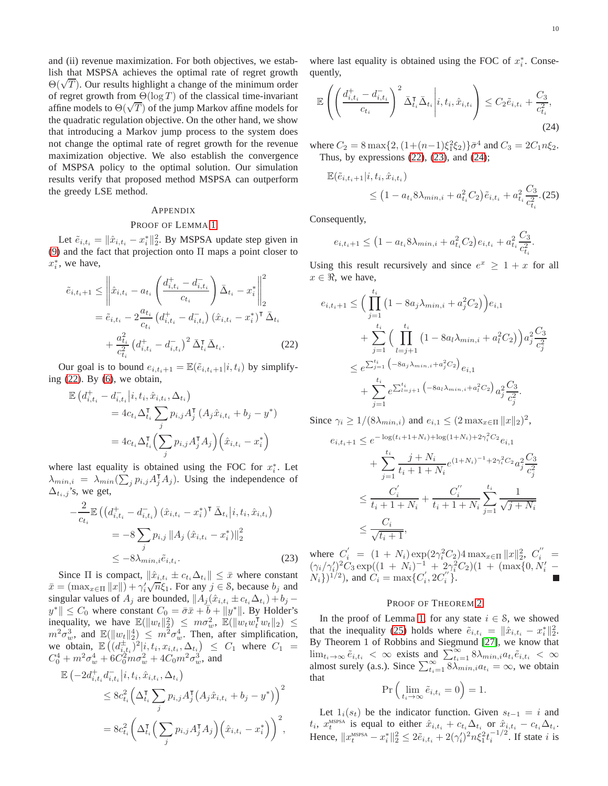and (ii) revenue maximization. For both objectives, we establish that MSPSA achieves the optimal rate of regret growth  $\Theta(\sqrt{T})$ . Our results highlight a change of the minimum order of regret growth from  $\Theta(\log T)$  of the classical time-invariant affine models to  $\Theta(\sqrt{T})$  of the jump Markov affine models for the quadratic regulation objective. On the other hand, we show that introducing a Markov jump process to the system does not change the optimal rate of regret growth for the revenue maximization objective. We also establish the convergence of MSPSA policy to the optimal solution. Our simulation results verify that proposed method MSPSA can outperform the greedy LSE method.

#### APPENDIX

## PROOF OF LEMMA [1](#page-4-1)

Let  $\tilde{e}_{i,t_i} = \|\hat{x}_{i,t_i} - x_i^*\|_2^2$ . By MSPSA update step given in [\(9\)](#page-4-4) and the fact that projection onto Π maps a point closer to  $x_i^*$ , we have,

$$
\tilde{e}_{i,t_{i+1}} \leq \left\| \hat{x}_{i,t_{i}} - a_{t_{i}} \left( \frac{d_{i,t_{i}}^{+} - d_{i,t_{i}}^{-}}{c_{t_{i}}} \right) \bar{\Delta}_{t_{i}} - x_{i}^{*} \right\|_{2}^{2}
$$
\n
$$
= \tilde{e}_{i,t_{i}} - 2 \frac{a_{t_{i}}}{c_{t_{i}}} \left( d_{i,t_{i}}^{+} - d_{i,t_{i}}^{-} \right) \left( \hat{x}_{i,t_{i}} - x_{i}^{*} \right)^{\mathsf{T}} \bar{\Delta}_{t_{i}}
$$
\n
$$
+ \frac{a_{t_{i}}^{2}}{c_{t_{i}}^{2}} \left( d_{i,t_{i}}^{+} - d_{i,t_{i}}^{-} \right)^{2} \bar{\Delta}_{t_{i}}^{\mathsf{T}} \bar{\Delta}_{t_{i}}.
$$
\n(22)

Our goal is to bound  $e_{i,t_{i+1}} = \mathbb{E}(\tilde{e}_{i,t_{i+1}}|i, t_i)$  by simplifying  $(22)$ . By  $(6)$ , we obtain,

$$
\mathbb{E}\left(d_{i,t_i}^+ - d_{i,t_i}^- \middle| i, t_i, \hat{x}_{i,t_i}, \Delta_{t_i}\right)
$$
\n
$$
= 4c_{t_i}\Delta_{t_i}^{\mathsf{T}} \sum_j p_{i,j} A_j^{\mathsf{T}}\left(A_j \hat{x}_{i,t_i} + b_j - y^*\right)
$$
\n
$$
= 4c_{t_i}\Delta_{t_i}^{\mathsf{T}} \left(\sum_j p_{i,j} A_j^{\mathsf{T}} A_j\right) \left(\hat{x}_{i,t_i} - x_i^*\right)
$$

where last equality is obtained using the FOC for  $x_i^*$ . Let  $\lambda_{min,i} = \lambda_{min}(\sum_j p_{i,j} A_j^\mathsf{T} A_j)$ . Using the independence of  $\Delta_{t_i,j}$ 's, we get,

$$
-\frac{2}{c_{t_i}} \mathbb{E}\left( \left( d_{i,t_i}^+ - d_{i,t_i}^- \right) (\hat{x}_{i,t_i} - x_i^*)^\mathsf{T} \bar{\Delta}_{t_i} \middle| i, t_i, \hat{x}_{i,t_i} \right) = -8 \sum_j p_{i,j} \| A_j (\hat{x}_{i,t_i} - x_i^*) \|_2^2 \leq -8\lambda_{min,i} \tilde{e}_{i,t_i}.
$$
 (23)

Since  $\Pi$  is compact,  $\|\hat{x}_{i,t_i} \pm c_{t_i}\Delta_{t_i}\| \leq \bar{x}$  where constant  $\bar{x} = (\max_{x \in \Pi} ||x||) + \gamma'_i \sqrt{n} \xi_1$ . For any  $j \in S$ , because  $b_j$  and singular values of  $A_j$  are bounded,  $||A_j(\hat{x}_{i,t_i} \pm c_{t_i} \Delta_{t_i}) + b_j$  $y^*$   $\leq C_0$  where constant  $C_0 = \overline{\sigma} \overline{x} + \overline{b} + ||y^*||$ . By Holder's inequality, we have  $\mathbb{E}(\|w_t\|_2^2) \leq m\sigma_w^2$ ,  $\mathbb{E}(\|w_t w_t^{\mathsf{T}} w_t\|_2) \leq$  $m^2 \sigma_w^3$ , and  $\mathbb{E}(\|w_t\|_2^4) \leq m^2 \sigma_w^4$ . Then, after simplification, we obtain,  $\mathbb{E}\left((d_{i,t_i}^{\pm})^2 | i,t_i,x_{i,t_i},\Delta_{t_i}\right) \leq C_1$  where  $C_1 =$  $C_0^4 + m^2 \sigma_w^4 + 6C_0^2 m \sigma_w^2 + 4C_0 m^2 \sigma_w^3$ , and

$$
\mathbb{E}\left(-2d_{i,t_i}^+ d_{i,t_i}^- \middle| i, t_i, \hat{x}_{i,t_i}, \Delta_{t_i}\right) \leq 8c_{t_i}^2 \left(\Delta_{t_i}^{\mathsf{T}} \sum_j p_{i,j} A_j^{\mathsf{T}} \left(A_j \hat{x}_{i,t_i} + b_j - y^*\right)\right)^2
$$

$$
= 8c_{t_i}^2 \left(\Delta_{t_i}^{\mathsf{T}} \left(\sum_j p_{i,j} A_j^{\mathsf{T}} A_j\right) \left(\hat{x}_{i,t_i} - x_i^*\right)\right)^2,
$$

where last equality is obtained using the FOC of  $x_i^*$ . Consequently,

$$
\mathbb{E}\left(\left(\frac{d_{i,t_i}^+-d_{i,t_i}^-}{c_{t_i}}\right)^2\bar{\Delta}_{t_i}^{\mathsf{T}}\bar{\Delta}_{t_i}\middle| i,t_i,\hat{x}_{i,t_i}\right)\leq C_2\tilde{e}_{i,t_i}+\frac{C_3}{c_{t_i}^2},\tag{24}
$$

where  $C_2 = 8 \max\{2, (1 + (n-1)\xi_1^2 \xi_2)\} \bar{\sigma}^4$  and  $C_3 = 2C_1 n \xi_2$ . Thus, by expressions  $(22)$ ,  $(23)$ , and  $(24)$ ;

<span id="page-9-3"></span>
$$
\mathbb{E}(\tilde{e}_{i,t_{i}+1}|i,t_{i},\hat{x}_{i,t_{i}}) \leq (1 - a_{t_{i}} 8\lambda_{min,i} + a_{t_{i}}^{2} C_{2})\tilde{e}_{i,t_{i}} + a_{t_{i}}^{2} \frac{C_{3}}{c_{t_{i}}^{2}}.(25)
$$

Consequently,

<span id="page-9-0"></span>
$$
e_{i,t_i+1} \leq (1 - a_{t_i} 8\lambda_{\min,i} + a_{t_i}^2 C_2) e_{i,t_i} + a_{t_i}^2 \frac{C_3}{c_{t_i}^2}.
$$

Using this result recursively and since  $e^x \geq 1 + x$  for all  $x \in \Re$ , we have,

<span id="page-9-1"></span>
$$
e_{i,t_{i}+1} \leq \Big(\prod_{j=1}^{t_{i}} \left(1 - 8a_{j}\lambda_{min,i} + a_{j}^{2}C_{2}\right)\Big)e_{i,1} + \sum_{j=1}^{t_{i}} \Big(\prod_{l=j+1}^{t_{i}} \left(1 - 8a_{l}\lambda_{min,i} + a_{l}^{2}C_{2}\right)\Big)a_{j}^{2}\frac{C_{3}}{c_{j}^{2}} + \sum_{l=j+1}^{t_{i}} \left(-8a_{j}\lambda_{min,i} + a_{j}^{2}C_{2}\right)e_{i,1} + \sum_{j=1}^{t_{i}} e^{\sum_{l=j+1}^{t_{i}}} \left(-8a_{l}\lambda_{min,i} + a_{l}^{2}C_{2}\right)a_{j}^{2}\frac{C_{3}}{c_{j}^{2}}.
$$

Since  $\gamma_i \geq 1/(8\lambda_{min,i})$  and  $e_{i,1} \leq (2 \max_{x \in \Pi} ||x||_2)^2$ ,

$$
e_{i,t_{i}+1} \leq e^{-\log(t_{i}+1+N_{i})+\log(1+N_{i})+2\gamma_{i}^{2}C_{2}}e_{i,1}
$$
  
+ 
$$
\sum_{j=1}^{t_{i}} \frac{j+N_{i}}{t_{i}+1+N_{i}} e^{(1+N_{i})^{-1}+2\gamma_{i}^{2}C_{2}} a_{j}^{2} \frac{C_{3}}{c_{j}^{2}}
$$
  

$$
\leq \frac{C_{i}'}{t_{i}+1+N_{i}} + \frac{C_{i}^{''}}{t_{i}+1+N_{i}} \sum_{j=1}^{t_{i}} \frac{1}{\sqrt{j+N_{i}}}
$$
  

$$
\leq \frac{C_{i}}{\sqrt{t_{i}+1}},
$$

<span id="page-9-2"></span>where  $C'_i = (1 + N_i) \exp(2\gamma_i^2 C_2) 4 \max_{x \in \Pi} ||x||_2^2$ ,  $C''_i =$  $(\gamma_i/\gamma'_i)^2 C_3 \exp((1 + N_i)^{-1} + 2\gamma_i^2 C_2)(1 + (\max\{0, N'_i N_i\}$ <sup>1/2</sup>), and  $C_i = \max\{C'_i, 2C''_i\}.$ 

#### PROOF OF THEOREM [2](#page-5-0)

In the proof of Lemma [1,](#page-4-1) for any state  $i \in S$ , we showed that the inequality [\(25\)](#page-9-0) holds where  $\tilde{e}_{i,t_i} = ||\hat{x}_{i,t_i} - x_i^*||_2^2$ . By Theorem 1 of Robbins and Siegmund [\[27\]](#page-12-25), we know that  $\lim_{t_i \to \infty} \tilde{e}_{i,t_i} < \infty$  exists and  $\sum_{t_i=1}^{\infty} 8\lambda_{min,i} a_{t_i} \tilde{e}_{i,t_i} < \infty$ almost surely (a.s.). Since  $\sum_{t_i=1}^{\infty} 8\lambda_{min,i} a_{t_i} = \infty$ , we obtain that

$$
\Pr\left(\lim_{t_i \to \infty} \tilde{e}_{i,t_i} = 0\right) = 1.
$$

Let  $1_i(s_t)$  be the indicator function. Given  $s_{t-1} = i$  and  $t_i$ ,  $x_t^{\text{MSPSA}}$  is equal to either  $\hat{x}_{i,t_i} + c_{t_i} \Delta_{t_i}$  or  $\hat{x}_{i,t_i} - c_{t_i} \Delta_{t_i}$ . Hence,  $||x_t^{\text{MSPSA}} - x_t^*||_2^2 \le 2\tilde{e}_{i,t_i} + 2(\gamma_i')^2 n \xi_1^2 t_i^{-1/2}$ . If state *i* is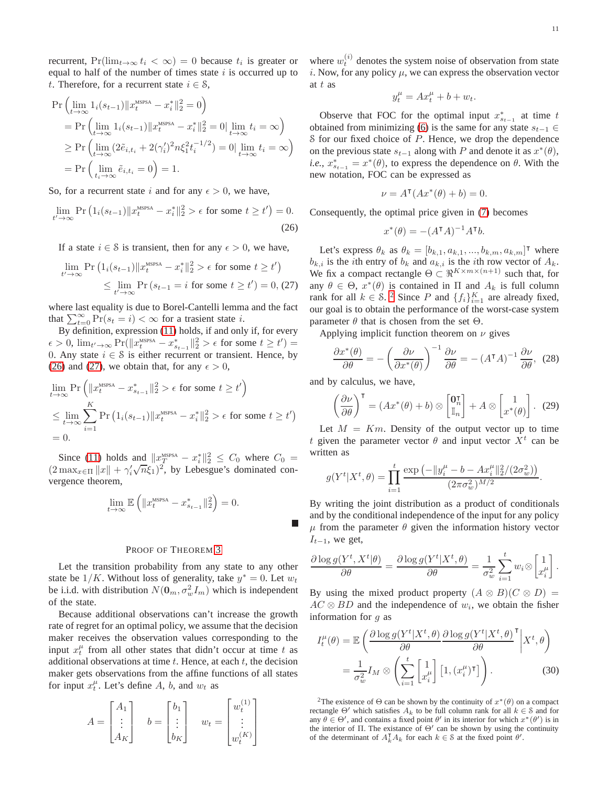recurrent,  $Pr(\lim_{t\to\infty} t_i < \infty) = 0$  because  $t_i$  is greater or equal to half of the number of times state  $i$  is occurred up to t. Therefore, for a recurrent state  $i \in \mathcal{S}$ ,

$$
\Pr\left(\lim_{t\to\infty} 1_i(s_{t-1})||x_t^{\text{MSPSA}} - x_i^*||_2^2 = 0\right) \n= \Pr\left(\lim_{t\to\infty} 1_i(s_{t-1})||x_t^{\text{MSPSA}} - x_i^*||_2^2 = 0|\lim_{t\to\infty} t_i = \infty\right) \n\ge \Pr\left(\lim_{t\to\infty} (2\tilde{e}_{i,t_i} + 2(\gamma_i')^2 n \xi_1^2 t_i^{-1/2}) = 0|\lim_{t\to\infty} t_i = \infty\right) \n= \Pr\left(\lim_{t_i\to\infty} \tilde{e}_{i,t_i} = 0\right) = 1.
$$

So, for a recurrent state i and for any  $\epsilon > 0$ , we have,

$$
\lim_{t' \to \infty} \Pr\left(1_i(s_{t-1}) \|x_t^{\text{MSPSA}} - x_i^*\|_2^2 > \epsilon \text{ for some } t \ge t'\right) = 0.
$$
\n(26)

If a state  $i \in \mathcal{S}$  is transient, then for any  $\epsilon > 0$ , we have,

$$
\lim_{t' \to \infty} \Pr\left(1_i(s_{t-1})||x_t^{\text{MSPSA}} - x_i^*||_2^2 > \epsilon \text{ for some } t \ge t'\right)
$$
  
\$\le\$ 
$$
\lim_{t' \to \infty} \Pr\left(s_{t-1} = i \text{ for some } t \ge t'\right) = 0, (27)
$$

where last equality is due to Borel-Cantelli lemma and the fact that  $\sum_{t=0}^{\infty} \Pr(s_t = i) < \infty$  for a trasient state *i*.

By definition, expression [\(11\)](#page-5-7) holds, if and only if, for every  $\epsilon > 0$ ,  $\lim_{t' \to \infty} \Pr(\|x_t^{\text{MSPSA}} - x_{s_{t-1}}^*\|_2^2 > \epsilon \text{ for some } t \ge t') =$ 0. Any state  $i \in \mathcal{S}$  is either recurrent or transient. Hence, by [\(26\)](#page-10-0) and [\(27\)](#page-10-1), we obtain that, for any  $\epsilon > 0$ ,

$$
\lim_{t \to \infty} \Pr\left(\|x_t^{\text{MSPSA}} - x_{s_{t-1}}^*\|_2^2 > \epsilon \text{ for some } t \ge t'\right)
$$
\n
$$
\le \lim_{t \to \infty} \sum_{i=1}^K \Pr\left(1_i(s_{t-1}) \|x_t^{\text{MSPSA}} - x_i^*\|_2^2 > \epsilon \text{ for some } t \ge t'\right)
$$
\n= 0.

Since [\(11\)](#page-5-7) holds and  $||x_T^{\text{MSPSA}} - x_i^*||_2^2 \leq C_0$  where  $C_0 =$  $(2 \max_{x \in \Pi} ||x|| + \gamma'_i \sqrt{n} \xi_1^{\mathsf{T}})^2$ , by Lebesgue's dominated convergence theorem,

$$
\lim_{t \to \infty} \mathbb{E}\left(\|x_t^{\text{MSPSA}} - x_{s_{t-1}}^*\|_2^2\right) = 0.
$$

#### PROOF OF THEOREM [3](#page-5-1)

Let the transition probability from any state to any other state be  $1/K$ . Without loss of generality, take  $y^* = 0$ . Let  $w_t$ be i.i.d. with distribution  $N(\mathbf{0}_m, \sigma_w^2 I_m)$  which is independent of the state.

Because additional observations can't increase the growth rate of regret for an optimal policy, we assume that the decision maker receives the observation values corresponding to the input  $x_t^{\mu}$  from all other states that didn't occur at time t as additional observations at time  $t$ . Hence, at each  $t$ , the decision maker gets observations from the affine functions of all states for input  $x_t^{\mu}$ . Let's define A, b, and  $w_t$  as

$$
A = \begin{bmatrix} A_1 \\ \vdots \\ A_K \end{bmatrix} \quad b = \begin{bmatrix} b_1 \\ \vdots \\ b_K \end{bmatrix} \quad w_t = \begin{bmatrix} w_t^{(1)} \\ \vdots \\ w_t^{(K)} \end{bmatrix}
$$

where  $w_t^{(i)}$  denotes the system noise of observation from state i. Now, for any policy  $\mu$ , we can express the observation vector at t as

$$
y_t^{\mu} = Ax_t^{\mu} + b + w_t.
$$

Observe that FOC for the optimal input  $x_{s_{t-1}}^*$  at time t obtained from minimizing [\(6\)](#page-3-1) is the same for any state  $s_{t-1}$  ∈  $S$  for our fixed choice of  $P$ . Hence, we drop the dependence on the previous state  $s_{t-1}$  along with P and denote it as  $x^*(\theta)$ , *i.e.*,  $x_{s_{t-1}}^* = x^*(\theta)$ , to express the dependence on  $\theta$ . With the new notation, FOC can be expressed as

$$
\nu = A^{\mathsf{T}}(Ax^*(\theta) + b) = 0.
$$

<span id="page-10-0"></span>Consequently, the optimal price given in [\(7\)](#page-3-4) becomes

<span id="page-10-4"></span>
$$
x^*(\theta) = -(A^{\mathsf{T}}A)^{-1}A^{\mathsf{T}}b.
$$

<span id="page-10-1"></span>Let's express  $\theta_k$  as  $\theta_k = [b_{k,1}, a_{k,1}, ..., b_{k,m}, a_{k,m}]^{\mathsf{T}}$  where  $b_{k,i}$  is the *i*th entry of  $b_k$  and  $a_{k,i}$  is the *i*th row vector of  $A_k$ . We fix a compact rectangle  $\Theta \subset \mathbb{R}^{K \times m \times (n+1)}$  such that, for any  $\theta \in \Theta$ ,  $x^*(\theta)$  is contained in  $\Pi$  and  $A_k$  is full column rank for all  $k \in S$ . <sup>[2](#page-10-2)</sup> Since P and  $\{f_i\}_{i=1}^K$  are already fixed, our goal is to obtain the performance of the worst-case system parameter  $\theta$  that is chosen from the set  $\Theta$ .

Applying implicit function theorem on  $\nu$  gives

$$
\frac{\partial x^*(\theta)}{\partial \theta} = -\left(\frac{\partial \nu}{\partial x^*(\theta)}\right)^{-1} \frac{\partial \nu}{\partial \theta} = -(A^{\mathsf{T}}A)^{-1} \frac{\partial \nu}{\partial \theta}, \tag{28}
$$

and by calculus, we have,

<span id="page-10-5"></span>
$$
\left(\frac{\partial \nu}{\partial \theta}\right)^{\mathsf{T}} = \left(Ax^*(\theta) + b\right) \otimes \begin{bmatrix} \mathbf{0}_n^{\mathsf{T}} \\ \mathbb{I}_n \end{bmatrix} + A \otimes \begin{bmatrix} 1 \\ x^*(\theta) \end{bmatrix} . \tag{29}
$$

Let  $M = Km$ . Density of the output vector up to time t given the parameter vector  $\theta$  and input vector  $X^t$  can be written as

$$
g(Y^t|X^t, \theta) = \prod_{i=1}^t \frac{\exp\left(-\|y_i^{\mu} - b - Ax_i^{\mu}\|_2^2/(2\sigma_w^2)\right)}{(2\pi\sigma_w^2)^{M/2}}.
$$

By writing the joint distribution as a product of conditionals and by the conditional independence of the input for any policy  $\mu$  from the parameter  $\theta$  given the information history vector  $I_{t-1}$ , we get,

$$
\frac{\partial \log g(Y^t, X^t | \theta)}{\partial \theta} = \frac{\partial \log g(Y^t | X^t, \theta)}{\partial \theta} = \frac{1}{\sigma_w^2} \sum_{i=1}^t w_i \otimes \begin{bmatrix} 1 \\ x_i^{\mu} \end{bmatrix}.
$$

By using the mixed product property  $(A \otimes B)(C \otimes D) =$  $AC \otimes BD$  and the independence of  $w_i$ , we obtain the fisher information for  $g$  as

<span id="page-10-3"></span>
$$
I_t^{\mu}(\theta) = \mathbb{E}\left(\frac{\partial \log g(Y^t | X^t, \theta)}{\partial \theta} \frac{\partial \log g(Y^t | X^t, \theta)}{\partial \theta}\bigg| X^t, \theta\right)
$$

$$
= \frac{1}{\sigma_w^2} I_M \otimes \left(\sum_{i=1}^t \begin{bmatrix} 1\\ x_i^{\mu} \end{bmatrix} [1, (x_i^{\mu})^{\mathsf{T}}] \right). \tag{30}
$$

<span id="page-10-2"></span><sup>2</sup>The existence of  $\Theta$  can be shown by the continuity of  $x^*(\theta)$  on a compact rectangle  $\Theta'$  which satisfies  $A_k$  to be full column rank for all  $k \in \mathcal{S}$  and for any  $\theta \in \Theta'$ , and contains a fixed point  $\theta'$  in its interior for which  $x^*(\theta')$  is in the interior of Π. The existance of  $Θ'$  can be shown by using the continuity of the determinant of  $A_k^{\mathsf{T}} A_k$  for each  $k \in \mathcal{S}$  at the fixed point  $\theta'$ .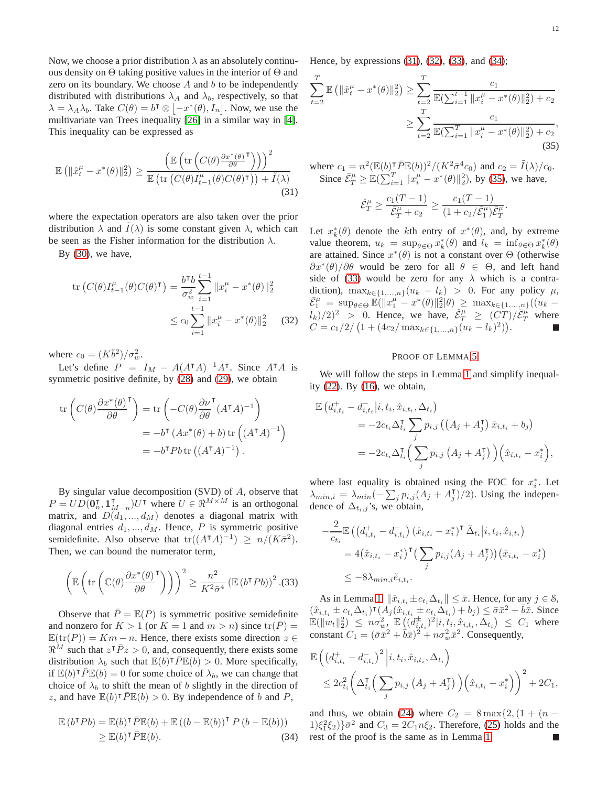Now, we choose a prior distribution  $\lambda$  as an absolutely continuous density on  $\Theta$  taking positive values in the interior of  $\Theta$  and zero on its boundary. We choose  $A$  and  $b$  to be independently distributed with distributions  $\lambda_A$  and  $\lambda_b$ , respectively, so that  $\lambda = \lambda_A \lambda_b$ . Take  $C(\theta) = b^{\dagger} \otimes [-x^*(\theta), I_n]$ . Now, we use the multivariate van Trees inequality [\[26\]](#page-12-24) in a similar way in [\[4\]](#page-12-1). This inequality can be expressed as

$$
\mathbb{E}\left(\|\hat{x}^{\mu}_{t}-x^{*}(\theta)\|_{2}^{2}\right) \geq \frac{\left(\mathbb{E}\left(\text{tr}\left(C(\theta)\frac{\partial x^{*}(\theta)}{\partial \theta}^{\mathsf{T}}\right)\right)\right)^{2}}{\mathbb{E}\left(\text{tr}\left(C(\theta)I_{t-1}^{\mu}(\theta)C(\theta)^{\mathsf{T}}\right)\right)+\tilde{I}(\lambda)}
$$
\n(31)

where the expectation operators are also taken over the prior distribution  $\lambda$  and  $I(\lambda)$  is some constant given  $\lambda$ , which can be seen as the Fisher information for the distribution  $\lambda$ .

By  $(30)$ , we have,

$$
\text{tr}\left(C(\theta)I_{t-1}^{\mu}(\theta)C(\theta)^{\mathsf{T}}\right) = \frac{b^{\mathsf{T}}b}{\sigma_w^2} \sum_{i=1}^{t-1} \|x_i^{\mu} - x^*(\theta)\|_2^2
$$
  

$$
\leq c_0 \sum_{i=1}^{t-1} \|x_i^{\mu} - x^*(\theta)\|_2^2 \qquad (32)
$$

where  $c_0 = (K\overline{b}^2)/\sigma_w^2$ .

Let's define  $P = I_M - A(A^{\dagger}A)^{-1}A^{\dagger}$ . Since  $A^{\dagger}A$  is symmetric positive definite, by [\(28\)](#page-10-4) and [\(29\)](#page-10-5), we obtain

$$
\operatorname{tr}\left(C(\theta)\frac{\partial x^*(\theta)}{\partial \theta}^{\mathsf{T}}\right) = \operatorname{tr}\left(-C(\theta)\frac{\partial \nu}{\partial \theta}^{\mathsf{T}}(A^{\mathsf{T}}A)^{-1}\right)
$$

$$
= -b^{\mathsf{T}}(Ax^*(\theta) + b)\operatorname{tr}\left((A^{\mathsf{T}}A)^{-1}\right)
$$

$$
= -b^{\mathsf{T}}Pb\operatorname{tr}\left((A^{\mathsf{T}}A)^{-1}\right).
$$

By singular value decomposition (SVD) of A, observe that  $P = UD(\mathbf{0}_n^{\mathsf{T}}, \mathbf{1}_{M-n}^{\mathsf{T}})U^{\mathsf{T}}$  where  $U \in \Re^{M \times M}$  is an orthogonal matrix, and  $D(d_1, ..., d_M)$  denotes a diagonal matrix with diagonal entries  $d_1, ..., d_M$ . Hence, P is symmetric positive semidefinite. Also observe that  $tr((A^{\dagger}A)^{-1}) \ge n/(K\bar{\sigma}^2)$ . Then, we can bound the numerator term,

$$
\left(\mathbb{E}\left(\text{tr}\left(\mathbb{C}(\theta)\frac{\partial x^*(\theta)}{\partial \theta}^{\mathsf{T}}\right)\right)\right)^2 \geq \frac{n^2}{K^2 \bar{\sigma}^4} \left(\mathbb{E}\left(b^{\mathsf{T}} P b\right)\right)^2 . (33)
$$

Observe that  $\overline{P} = \mathbb{E}(P)$  is symmetric positive semidefinite and nonzero for  $K > 1$  (or  $K = 1$  and  $m > n$ ) since  $tr(P) =$  $\mathbb{E}(\text{tr}(P)) = Km - n$ . Hence, there exists some direction  $z \in$  $\Re^M$  such that  $z^T \overline{P} z > 0$ , and, consequently, there exists some distribution  $\lambda_b$  such that  $\mathbb{E}(b)^\intercal \overline{P} \mathbb{E}(b) > 0$ . More specifically, if  $\mathbb{E}(b)^\intercal \overline{P} \mathbb{E}(b) = 0$  for some choice of  $\lambda_b$ , we can change that choice of  $\lambda_b$  to shift the mean of b slightly in the direction of z, and have  $\mathbb{E}(b)^\intercal \overline{P} \mathbb{E}(b) > 0$ . By independence of b and P,

$$
\mathbb{E}\left(b^{\mathsf{T}}Pb\right) = \mathbb{E}(b)^{\mathsf{T}}\bar{P}\mathbb{E}(b) + \mathbb{E}\left((b - \mathbb{E}(b))^{\mathsf{T}}P\left(b - \mathbb{E}(b)\right)\right) \geq \mathbb{E}(b)^{\mathsf{T}}\bar{P}\mathbb{E}(b).
$$
\n(34)

Hence, by expressions [\(31\)](#page-11-0), [\(32\)](#page-11-1), [\(33\)](#page-11-2), and [\(34\)](#page-11-3);

$$
\sum_{t=2}^{T} \mathbb{E} \left( \| \hat{x}_t^{\mu} - x^*(\theta) \|_2^2 \right) \ge \sum_{t=2}^{T} \frac{c_1}{\mathbb{E}(\sum_{i=1}^{t-1} \| x_i^{\mu} - x^*(\theta) \|_2^2) + c_2}
$$

$$
\ge \sum_{t=2}^{T} \frac{c_1}{\mathbb{E}(\sum_{i=1}^{T} \| x_i^{\mu} - x^*(\theta) \|_2^2) + c_2},
$$
(35)

<span id="page-11-0"></span>where  $c_1 = n^2 (\mathbb{E}(b))^T \overline{P} \mathbb{E}(b))^2 / (K^2 \overline{\sigma}^4 c_0)$  and  $c_2 = \tilde{I}(\lambda)/c_0$ . Since  $\bar{\mathcal{E}}_T^{\mu} \geq \mathbb{E}(\sum_{i=1}^T ||x_i^{\mu} - x^*(\theta)||_2^2)$ , by [\(35\)](#page-11-4), we have,

<span id="page-11-4"></span>
$$
\hat{\mathcal{E}}_T^{\mu} \ge \frac{c_1(T-1)}{\bar{\mathcal{E}}_T^{\mu} + c_2} \ge \frac{c_1(T-1)}{(1 + c_2/\bar{\mathcal{E}}_1^{\mu})\bar{\mathcal{E}}_T^{\mu}}.
$$

Let  $x_k^*(\theta)$  denote the kth entry of  $x^*(\theta)$ , and, by extreme value theorem,  $u_k = \sup_{\theta \in \Theta} x_k^*(\theta)$  and  $l_k = \inf_{\theta \in \Theta} x_k^*(\theta)$ are attained. Since  $x^*(\theta)$  is not a constant over  $\Theta$  (otherwise  $\frac{\partial x^*(\theta)}{\partial \theta}$  would be zero for all  $\theta \in \Theta$ , and left hand side of [\(33\)](#page-11-2) would be zero for any  $\lambda$  which is a contradiction),  $\max_{k \in \{1,...,n\}} (u_k - l_k) > 0$ . For any policy  $\mu$ ,  $\bar{\mathcal{E}}_1^{\mu} = \sup_{\theta \in \Theta} \mathbb{E}(\|x_1^{\mu} - x^*(\theta)\|_2^2 | \theta) \geq \max_{k \in \{1, ..., n\}} ((u_k (l_k)/2)^2 > 0$ . Hence, we have,  $\hat{\mathcal{E}}_T^{\mu} \geq (CT)/\bar{\mathcal{E}}_T^{\mu}$  where  $C = c_1/2 / (1 + (4c_2 / \max_{k \in \{1,...,n\}} (u_k - l_k)^2)).$ 

#### PROOF OF LEMMA [5](#page-7-1)

<span id="page-11-1"></span>We will follow the steps in Lemma [1](#page-4-1) and simplify inequality [\(22\)](#page-9-1). By [\(16\)](#page-6-2), we obtain,

$$
\mathbb{E} \left( d_{i,t_i}^+ - d_{i,t_i}^- | i, t_i, \hat{x}_{i,t_i}, \Delta_{t_i} \right)
$$
  
=  $-2c_{t_i} \Delta_{t_i}^{\mathsf{T}} \sum_j p_{i,j} \left( \left( A_j + A_j^{\mathsf{T}} \right) \hat{x}_{i,t_i} + b_j \right)$   
=  $-2c_{t_i} \Delta_{t_i}^{\mathsf{T}} \left( \sum_j p_{i,j} \left( A_j + A_j^{\mathsf{T}} \right) \right) \left( \hat{x}_{i,t_i} - x_i^* \right),$ 

where last equality is obtained using the FOC for  $x_i^*$ . Let  $\lambda_{min,i} = \lambda_{min}(-\sum_j p_{i,j}(A_j + A_j^{\mathsf{T}})/2)$ . Using the independence of  $\Delta_{t_i,j}$ 's, we obtain,

$$
-\frac{2}{c_{t_i}} \mathbb{E} \left( \left( d_{i,t_i}^+ - d_{i,t_i}^- \right) (\hat{x}_{i,t_i} - x_i^*)^\mathsf{T} \bar{\Delta}_{t_i} | i, t_i, \hat{x}_{i,t_i} \right)
$$
  
=  $4 (\hat{x}_{i,t_i} - x_i^*)^\mathsf{T} \left( \sum_j p_{i,j} (A_j + A_j^\mathsf{T}) \right) (\hat{x}_{i,t_i} - x_i^*)$   
 $\leq -8\lambda_{min,i} \tilde{e}_{i,t_i}.$ 

<span id="page-11-2"></span>As in Lemma [1,](#page-4-1)  $\|\hat{x}_{i,t_i} \pm c_{t_i}\Delta_{t_i}\| \leq \bar{x}$ . Hence, for any  $j \in \mathcal{S}$ ,  $(\hat{x}_{i,t_i} \pm c_{t_i} \Delta_{t_i})^{\mathsf{T}} (A_j(\hat{x}_{i,t_i} \pm c_{t_i} \Delta_{t_i}) + b_j) \leq \bar{\sigma} \bar{x}^2 + \bar{b} \bar{x}$ . Since  $\mathbb{E}(\|w_t\|_2^2) \leq n\sigma_w^2$ ,  $\mathbb{E}((d_{i,t_i}^{\pm})^2|i,t_i,\hat{x}_{i,t_i},\Delta_{t_i}) \leq C_1$  where constant  $C_1 = (\bar{\sigma}\bar{x}^2 + \bar{b}\bar{x})^2 + n\sigma_w^2\bar{x}^2$ . Consequently,

$$
\mathbb{E}\left(\left(d_{i,t_{i}}^{+}-d_{i,t_{i}}^{-}\right)^{2}\Big|i,t_{i},\hat{x}_{i,t_{i}},\Delta_{t_{i}}\right) \leq 2c_{t_{i}}^{2}\bigg(\Delta_{t_{i}}^{T}\bigg(\sum_{j}p_{i,j}\left(A_{j}+A_{j}^{T}\right)\bigg)\bigg(\hat{x}_{i,t_{i}}-x_{i}^{*}\bigg)\bigg)^{2}+2C_{1},
$$

<span id="page-11-3"></span>and thus, we obtain [\(24\)](#page-9-3) where  $C_2 = 8 \max\{2, (1 + (n 1(\xi_1^2 \xi_2) \overline{\sigma}^2$  and  $C_3 = 2C_1 n \xi_2$ . Therefore, [\(25\)](#page-9-0) holds and the rest of the proof is the same as in Lemma [1.](#page-4-1)